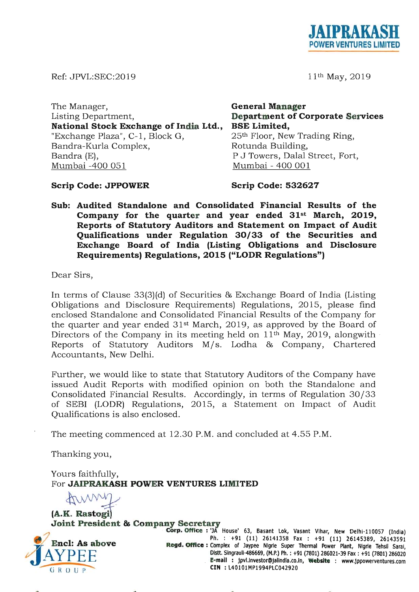

11th May, 2019

Ref: JPVL:SEC:2019

The Manager, Listing Department, National Stock Exchange of India Ltd., "Exchange Plaza", C-1, Block G, Bandra-Kurla Complex, Rotunda Building, Bandra (E), Mumbai -400 051

General Manager Department of Corporate Services BSE Limited, 25th Floor, New Trading Ring, P J Towers, Dalal Street, Fort, Mumbai - 400 001

# Scrip Code: JPPOWER

Scrip Code: 532627

Sub: Audited Standalone and Consolidated Financial Results of the Company for the quarter and year ended 31st March, 2019, Reports of Statutory Auditors and Statement on Impact of Audit Qualifications under Regulation 30/33 of the Securities and Exchange Board of India (Listing Obligations and Disclosure Requirements) Regulations, 2015 ("LODR Regulations")

Dear Sirs,

In terms of Clause 33(3)(d) of Securities & Exchange Board of India (Listing Obligations and Disclosure Requirements) Regulations, 2015, please find enclosed Standalone and Consolidated Financial Results of the Company for the quarter and year ended  $31<sup>st</sup>$  March, 2019, as approved by the Board of Directors of the Company in its meeting held on  $11<sup>th</sup>$  May, 2019, alongwith Reports of Statutory Auditors M/s. Lodha & Company, Chartered Accountants, New Delhi.

Further, we would like to state that Statutory Auditors of the Company have issued Audit Reports with modified opinion on both the Standalone and Consolidated Financial Results. Accordingly, in terms of Regulation *30 / 33*  of SEBI (LODR) Regulations, 2015, a Statement on Impact of Audit Qualifications is also enclosed.

The meeting commenced at 12.30 P.M. and concluded at 4.55 P.M.

Thanking you,

Yours faithfully, For JAIPRAKASH POWER VENTURES LIMITED Yours faithfully,<br>For **JAIPRAKASH POWER VENTURES L<br>(A.K. Rastogi)**<br>Joint President & Company Secretary



Corp. Office: 'JA House' 63, Basant Lok, Vasant Vihar, New Delhi-110057 (India) Ph. : +91 (11) 26141358 Fax : +91 (11) 26145389, 26143591 Regd. Office: Complex of Jaypee Nigrie Super Thermal Power Plant, Nigrie Tehsil Saral, Dlstt.Slngraull-486669, (M.P.) Ph. : +91 (7801) 286021-39 Fax: +91 (7801) 286020 E-mail: jpvl.lnvestor@jalindla.co.in, Website : www.jppowerventures.com CIN : L40101MP1994PLC042920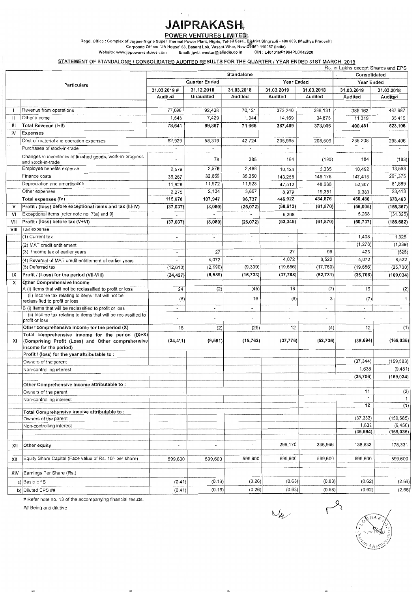# **JAIPRAKASH**

POWER VENTURES LIMITED.

Regd. Office : Complex of Jaypee Nigrio Super Thermal Power Plant, Nigrie, Tehsil Sarai, District Singrauli - 486 669, (Madhya Pradesh)<br>Corporate Office: 'JA House' 63, Basant Lok, Vasant Vihar, New Dolfif - 110057 (Indi

#### STATEMENT OF STANDALONE / CONSOLIDATED AUDITED RESULTS FOR THE QUARTER / YEAR ENDED 31ST MARCH, 2019

|                   |                                                                                                       |                          |                       |                          |                          |                          | Rs. in Lakhs except Shares and EPS |                        |
|-------------------|-------------------------------------------------------------------------------------------------------|--------------------------|-----------------------|--------------------------|--------------------------|--------------------------|------------------------------------|------------------------|
|                   |                                                                                                       |                          |                       | <b>Standalone</b>        |                          |                          | Consolidated                       |                        |
|                   | <b>Particulars</b>                                                                                    |                          | <b>Quarter Ended</b>  |                          | Year Ended               |                          | Year Ended                         |                        |
|                   |                                                                                                       | 31.03.2019#              | 31.12.2018            | 31.03.2018               | 31.03.2019               | 31.03.2018               | 31.03.2019                         | 31.03.2018             |
|                   |                                                                                                       | Audited                  | <b>Unaudited</b>      | Audited                  | Audited                  | Audited                  | Audited                            | Audited                |
|                   |                                                                                                       |                          |                       |                          |                          |                          |                                    |                        |
| $\mathbf{I}$      | Revenue from operations                                                                               | 77,096                   | 92,438                | 70,121                   | 373,240                  | 338,131                  | 389,162                            | 487,687                |
| $\mathsf{II}$     | Other income                                                                                          | 1,545                    | 7,429                 | 1,544                    | 14,169                   | 34,875                   | 11,319                             | 35,419                 |
| Ш                 | Total Revenue (I+II)                                                                                  | 78,641                   | 99,867                | 71,665                   | 387,409                  | 373,006                  | 400,481                            | 523,106                |
| i٧                | <b>Expenses</b>                                                                                       |                          |                       |                          |                          |                          |                                    |                        |
|                   | Cost of material and operation expenses                                                               | 62,929                   | 58,319                | 42,724                   | 235,965                  | 208,509                  | 236,208                            | 298,406                |
|                   | Purchases of stock-in-trade                                                                           |                          |                       |                          |                          |                          |                                    | $\tilde{\phantom{a}}$  |
|                   | Changes in inventories of finished goods, work-in-progress<br>and stock-in-trade                      |                          | 78                    | 385                      | 184                      | (183)                    | 184                                | (183)                  |
|                   | Employee benefits expense                                                                             | 2,579                    | 2,579                 | 2,488                    | 10,124                   | 9,335                    | 10,492                             | 13,563                 |
|                   | Finance costs                                                                                         | 36,267                   | 32,865                | 35,350                   | 143,258                  | 149,178                  | 147,415                            | 261,375                |
|                   | Depreciation and amortisation                                                                         | 11,628                   | 11,972                | 11,923                   | 47,512                   | 48,686                   | 52,807                             | 81,889                 |
|                   | Other expenses                                                                                        | 2,275                    | 2,134                 | 3,867                    | 8,979                    | 19,351                   | 9,380                              | 23,413                 |
|                   | Total expenses (IV)                                                                                   | 115,678                  | 107,947               | 96,737                   | 446,022                  | 434,876                  | 456,486                            | 678,463                |
| v                 | Profit / (loss) before exceptional items and tax (III-IV)                                             | (37, 037)                | (8,080)               | (25, 072)                | (58, 613)                | (61, 870)                | (56,005)                           | (155, 357)             |
| vı                | Exceptional items [refer note no. 7(a) and 9]                                                         |                          |                       |                          | 5,268                    |                          | 5,268                              | (31, 325)              |
| Vil               | Profit / (loss) before tax (V+VI)                                                                     | (37, 037)                | (8,080)               | (25, 072)                | (53, 345)                | (61, 870)                | (50, 737)                          | (186, 682)             |
| VIII              | Tax expense                                                                                           |                          |                       |                          |                          |                          |                                    |                        |
|                   | (1) Current tax                                                                                       |                          | $\blacksquare$        |                          | $\blacksquare$           |                          | 1,408                              | 1,325                  |
|                   |                                                                                                       |                          |                       |                          |                          |                          | (1, 278)                           | (1, 239)               |
|                   | (2) MAT credit entitlement<br>(3) Income tax of earlier years                                         | $\overline{a}$           | 27                    | $\blacksquare$           | 27                       | 99                       | 423                                | (526)                  |
|                   |                                                                                                       |                          | 4,072                 | ۰                        | 4,072                    | 8,522                    |                                    |                        |
|                   | (4) Reversal of MAT credit entitlement of earlier years<br>(5) Deferred tax                           |                          |                       |                          |                          |                          | 4,072                              | 8,522                  |
|                   |                                                                                                       | (12,610)                 | (2, 590)              | (9,339)                  | (19, 656)                | (17, 760)                | (19, 656)                          | (25, 730)              |
| IX                | Profit / (Loss) for the period (VII-VIII)                                                             | (24, 427)                | (9, 589)              | (15, 733)                | (37, 788)                | (52, 731)                | (35, 706)                          | (169, 034)             |
| х                 | <b>Other Comprehensive Income</b><br>A (i) Items that will not be reclassified to profit or loss      | 24                       |                       |                          | 18                       |                          |                                    |                        |
|                   | (ii) Income tax relating to items that will not be                                                    |                          | (2)                   | (45)                     |                          | (7)                      | 19                                 | (2)                    |
|                   | reclassified to profit or loss                                                                        | (8)                      | ٠                     | 16                       | (6)                      | 3                        | (7)                                | $\mathbf{1}$           |
|                   | B (i) Items that will be reclassified to profit or loss                                               | $\overline{\phantom{a}}$ | $\tilde{\phantom{a}}$ | $\overline{\phantom{a}}$ | $\overline{\phantom{a}}$ | $\overline{\phantom{a}}$ | $\blacksquare$                     | $\blacksquare$         |
|                   | (ii) Income tax relating to items that will be reclassified to<br>profit or loss                      |                          |                       |                          | ۰                        |                          |                                    |                        |
|                   | Other comprehensive income for the period (X)                                                         | 16                       | (2)                   | (29)                     | 12                       | (4)                      | 12                                 | (1)                    |
| XI                | Total comprehensive income for the period (IX+X)<br>(Comprising Profit (Loss) and Other comprehensive | (24, 411)                | (9, 591)              | (15, 762)                | (37, 776)                | (52, 735)                | (35, 694)                          | (169, 035)             |
|                   | income for the period)<br>Profit / (loss) for the year attributable to:                               |                          |                       |                          |                          |                          |                                    |                        |
|                   | Owners of the parent                                                                                  |                          |                       |                          |                          |                          |                                    |                        |
|                   | Non-controlling interest                                                                              |                          |                       |                          |                          |                          | (37, 344)<br>1,638                 | (159, 583)<br>(9, 451) |
|                   |                                                                                                       |                          |                       |                          |                          |                          |                                    |                        |
|                   |                                                                                                       |                          |                       |                          |                          |                          | (35, 706)                          | (169, 034)             |
|                   | Other Comprehensive Income attributable to:<br>Owners of the parent                                   |                          |                       |                          |                          |                          |                                    |                        |
|                   |                                                                                                       | ٠                        |                       |                          |                          |                          | 11                                 | (2)                    |
|                   | Non-controlling interest                                                                              |                          |                       |                          |                          |                          | 1<br>12                            | $\overline{1}$<br>(1)  |
|                   | Total Comprehensive income attributable to:                                                           |                          |                       |                          |                          |                          |                                    |                        |
|                   | Owners of the parent                                                                                  |                          |                       |                          |                          |                          | (37, 333)                          | (159, 585)             |
|                   | Non-controlling interest                                                                              |                          |                       |                          |                          |                          | 1,639                              | (9, 450)               |
|                   |                                                                                                       |                          |                       |                          |                          |                          | (35, 694)                          | (169, 035)             |
|                   |                                                                                                       |                          |                       |                          |                          |                          |                                    |                        |
| XII               | Other equity                                                                                          |                          |                       |                          | 299,170                  | 336,946                  | 138,833                            | 178,331                |
| XIII              | Equity Share Capital (Face value of Rs. 10/- per share)                                               | 599,600                  | 599,600               | 599,600                  | 599,600                  | 599,600                  | 599,600                            | 599,600                |
|                   |                                                                                                       |                          |                       |                          |                          |                          |                                    |                        |
| XIV               | Earnings Per Share (Rs.)                                                                              |                          |                       |                          |                          |                          |                                    |                        |
|                   | a) Basic EPS                                                                                          | (0.41)                   | (0.16)                | (0.26)                   | (0.63)                   | (0.88)                   | (0.62)                             | (2.66)                 |
| b) Diluted EPS ## |                                                                                                       | (0.41)                   | (0.16)                | (0.26)                   | (0.63)                   | (0.88)                   | (0.62)                             | (2.66)                 |

# Refer note no. 13 of the accompanying financial results.

## Being anti dilutive

 $M_{\nu}$   $R$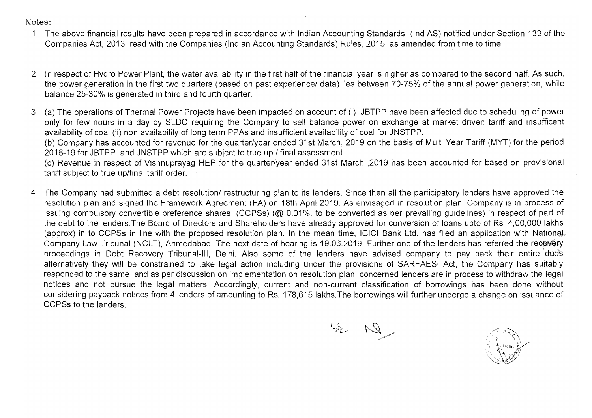### Notes:

- 1 The above financial results have been prepared in accordance with Indian Accounting Standards (Ind AS) notified under Section 133 of the Companies Act, 2013, read with the Companies (Indian Accounting Standards) Rules, 2015, as amended from time to time.
- 2 in respect of Hydro Power Plant, the water availability in the first half of the financial year is higher as compared to the second half. As such, the power generation in the first two quarters (based on past experience/ data) lies between 70-75% of the annual power generation, while balance 25-30% is generated in third and fourth quarter.
- 3 (a) The operations of Thermal Power Projects have been impacted on account of (i) JBTPP have been affected due to scheduling of power only for few hours in a day by SLDC requiring the Company to sell balance power on exchange at market driven tariff and insufficent availability of coal,(ii) non availability of long term PPAs and insufficient availability of coal for JNSTPP.

(b) Company has accounted for revenue for the quarter/year ended 31st March, 2019 on the basis of Multi Year Tariff (MYT) for the period 2016-19 for JBTPP and JNSTPP which are subject to true up / final assessment.

(c) Revenue in respect of Vishnuprayag HEP for the quarter/year ended 31st March ,2019 has been accounted for based on provisional tariff subject to true up/final tariff order.

4 The Company had submitted a debt resolution/ restructuring plan to its lenders. Since then all the participatory lenders have approved the resolution plan and signed the Framework Agreement (FA) on 18th April 2019. As envisaged in resolution plan, Company is in process of issuing compulsory convertible preference shares (CCPSs) (@ 0.01%, to be converted as per prevailing guidelines) in respect of part of the debt to the lenders.The Board of Directors and Shareholders have already approved for conversion of loans upto of Rs. 4,00,000 lakhs (approx) in to CCPSs in line with the proposed resolution plan. In the mean time, ICICI Bank Ltd. has filed an application with National. Company Law Tribunal (NCLT), Ahmedabad. The next date of hearing is 19.06.2019. Further one of the lenders has referred the recovery proceedings in Debt Recovery Tribunal-III, Delhi. Also some of the lenders have advised company to pay back their entire "dues alternatively they will be constrained to take legal action including under the provisions of SARFAESI Act, the Company has suitably responded to the same and as per discussion on implementation on resolution plan, concerned lenders are in process to withdraw the legal notices and not pursue the legal matters. Accordingly, current and non-current classification of borrowings has been done without considering payback notices from 4 lenders of amounting to Rs. 178,615 lakhs.The borrowings will further undergo a change on issuance of CCPSs to the lenders.

 $421$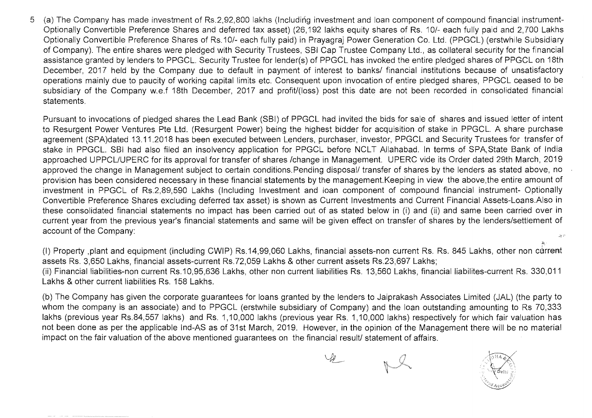5 (a) The Company has made investment of Rs.2,92,800 lakhs (Including investment and loan component of compound financial instrument-Optionally Convertible Preference Shares and deferred tax asset) (26,192 lakhs equity shares of Rs. 10/- each fully paid and 2,700 Lakhs Optionally Convertible Preference Shares of Rs.1 0/- each fully paid) in Prayagraj Power Generation Co. Ltd. (PPGCL) (erstwhile Subsidiary of Company). The entire shares were pledged with Security Trustees, SBI Cap Trustee Company Ltd., as collateral security for the financial assistance granted by lenders to PPGCL. Security Trustee for lender(s) of PPGCL has invoked the entire pledged shares of PPGCL on 18th December, 2017 held by the Company due to default in payment of interest to banks/ financial institutions because of unsatisfactory operations mainly due to paucity of working capital limits etc. Consequent upon invocation of entire pledged shares, PPGCL ceased to be subsidiary of the Company w.e.f 18th December, 2017 and profit/(loss) post this date are not been recorded in consolidated financial statements.

Pursuant to invocations of pledged shares the Lead Bank (SBI) of PPGCL had invited the bids for sale of shares and issued letter of intent to Resurgent Power Ventures Pte Ltd. (Resurgent Power) being the highest bidder for acquisition of stake in PPGCL. A share purchase agreement (SPA)dated 13.11.2018 has been executed between Lenders, purchaser, investor, PPGCL and Security Trustees for transfer of stake in PPGCL. SBI had also filed an insolvency application for PPGCL before NCLT Allahabad. In terms of SPA, State Bank of India approached UPPCLlUPERC for its approval for transfer of shares /change in Management. UPERC vide its Order dated 29th March, 2019 approved the change in Management subject to certain conditions. Pending disposal/ transfer of shares by the lenders as stated above, no provision has been considered necessary in these financial statements by the management.Keeping in view the above,the entire amount of investment in PPGCL of Rs.2,89,590 Lakhs (Including Investment and loan component of compound financial instrument- Optionally Convertible Preference Shares excluding deferred tax asset) is shown as Current Investments and Current Financial Assets-Loans.Also in these consolidated financial statements no impact has been carried out of as stated below in (i) and (ii) and same been carried over in current year from the previous year's financial statements and same will be given effect on transfer of shares by the lenders/settlement of account of the Company:  $\mathcal{M} \subset \mathcal{C}$ 

(I) Property ,plant and equipment (including CWIP) Rs.14,99,060 Lakhs, financial assets-non current Rs. Rs. 845 Lakhs, other non current assets Rs. 3,650 Lakhs, financial assets-current Rs.72,059 Lakhs & other current assets Rs.23,697 Lakhs; (ii) Financial liabilities-non current Rs.10,95,636 Lakhs, other non current liabilities Rs. 13,560 Lakhs, financial liabilites-current Rs. 330,011 Lakhs & other current liabilities Rs. 158 Lakhs.

(b) The Company has given the corporate guarantees for loans granted by the lenders to Jaiprakash Associates Limited (JAL) (the party to whom the company is an associate) and to PPGCL (erstwhile subsidiary of Company) and the loan outstanding amounting to Rs 70,333 lakhs (previous year Rs.84,557 lakhs) and Rs. 1,10,000 lakhs (previous year Rs. 1,10,000 lakhs) respectively for which fair valuation has not been done as per the applicable Ind-AS as of 31st March, 2019. However, in the opinion of the Management there will be no material impact on the fair valuation of the above mentioned guarantees on the financial result/ statement of affairs.

 $\mathcal{L}_{\ell}$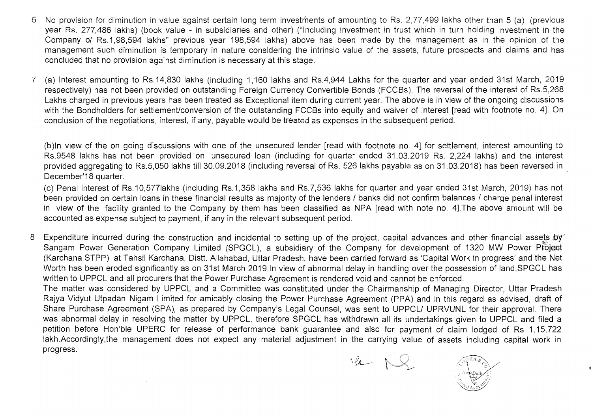- No provision for diminution in value against certain long term investments of amounting to Rs. 2,77,499 lakhs other than 5 (a) (previous year Rs. 277,486 lakhs) (book value - in subsidiaries and other) ("Including investment in trust which in turn holding investment in the Company of Rs.1,98,594 lakhs" previous year 198,594 lakhs) above has been made by the management as in the opinion of the management such diminution is temporary in nature considering the intrinsic value of the assets, future prospects and claims and has concluded that no provision against diminution is necessary at this stage.
- (a) Interest amounting to Rs.14,830 lakhs (including 1,160 lakhs and Rs.4,944 Lakhs for the quarter and year ended 31st March, 2019 respectively) has not been provided on outstanding Foreign Currency Convertible Bonds (FCCBs). The reversal of the interest of RS.5,268 Lakhs charged in previous years has been treated as Exceptional item during current year. The above is in view of the ongoing discussions with the Bondholders for settlement/conversion of the outstanding FCCBs into equity and waiver of interest [read with footnote no. 4]. On conclusion of the negotiations, interest, if any, payable would be treated as expenses in the subsequent period.

(b)ln view of the on going discussions with one of the unsecured lender [read with footnote no. 4] for settlement, interest amounting to RS.9548 lakhs has not been provided on unsecured loan (including for quarter ended 31.03.2019 Rs. 2,224 lakhs) and the interest provided aggregating to RS.5,050 lakhs till 30.09.2018 (including reversal of Rs. 526 lakhs payable as on 31.03.2018) has been reversed in December'18 quarter.

(c) Penal interest of RS.10,577Iakhs (including RS.1,358 lakhs and Rs.7,536 lakhs for quarter and year ended 31st March, 2019) has not been provided on certain loans in these financial results as majority of the lenders / banks did not confirm balances / charge penal interest in view of the facility granted to the Company by them has been classified as NPA [read with note no. 4].The above amount will be accounted as expense subject to payment, if any in the relevant subsequent period.

8 Expenditure incurred during the construction and incidental to setting up of the project, capital advances and other financial assets by Sangam Power Generation Company Limited (SPGCL), a subsidiary of the Company for development of 1320 MW Power Project (Karchana STPP) at Tahsil Karchana, Distt. Allahabad, Uttar Pradesh, have been carried forward as 'Capital Work in progress' and the Net Worth has been eroded significantly as on 31st March 2019.ln view of abnormal delay in handling over the possession of land,SPGCL has written to UPPCL and all procurers that the Power Purchase Agreement is rendered void and cannot be enforced.

The matter was considered by UPPCL and a Committee was constituted under the Chairmanship of Managing Director, Uttar Pradesh Rajya Vidyut Utpadan Nigam Limited for amicably closing the Power Purchase Agreement (PPA) and in this regard as advised, draft of Share Purchase Agreement (SPA), as prepared by Company's Legal Counsel, was sent to UPPCL/ UPRVUNL for their approval. There was abnormal delay in resolving the matter by UPPCL, therefore SPGCL has withdrawn all its undertakings given to UPPCL and filed a petition before Hon'ble UPERC for release of performance bank guarantee and also for payment of claim lodged of Rs 1,15,722 lakh.Accordingly,the management does not expect any material adjustment in the carrying value of assets including capital work in progress.

 $\varphi$   $\sim$ 

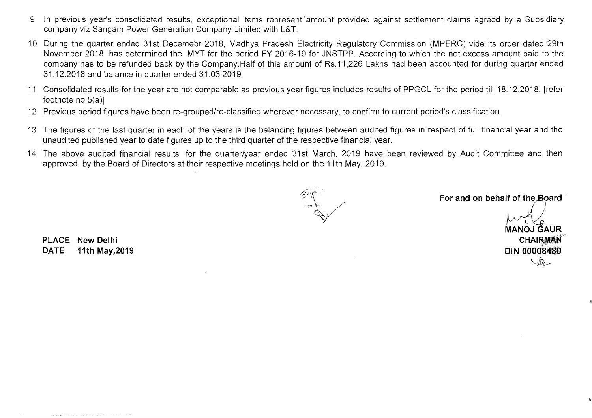- 9 In previous year's consolidated results, exceptional items represent amount provided against settlement claims agreed by a Subsidiary company viz Sangam Power Generation Company Limited with L&T.
- 10 During the quarter ended 31st Decemebr 2018, Madhya Pradesh Electricity Regulatory Commission (MPERC) vide its order dated 29th November 2018 has determined the MYT for the period FY 2016-19 for JNSTPP. According to which the net excess amount paid to the company has to be refunded back by the Company. Half of this amount of Rs.11 ,226 Lakhs had been accounted for during quarter ended 31.12.2018 and balance in quarter ended 31.03.2019.
- 11 Consolidated results for the year are not comparable as previous year figures includes results of PPGCL for the period till 18.12.2018. [refer footnote no.5(a)]
- 12 Previous period figures have been re-grouped/re-classified wherever necessary, to confirm to current period's classification.
- 13 The figures of the last quarter in each of the years is the balancing figures between audited figures in respect of full financial year and the unaudited published year to date figures up to the third quarter of the respective financial year.
- 14 The above audited financial results for the quarter/year ended 31st March, 2019 have been reviewed by Audit Committee and then approved by the Board of Directors at their respective meetings held on the 11th May, 2019.

For and on behalf of the Board

MANOJ ĞAUR<br>CHAIR**MAN** DIN **0000'84"18** ?'  $v_{\ell-1}$ 

PLACE **New** Delhi DATE 11th May,2019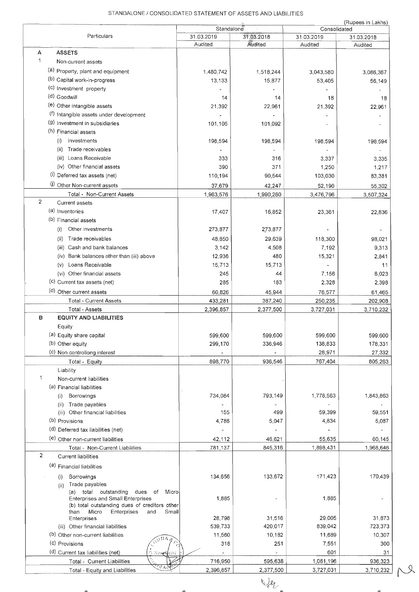### STANDALONE / CONSOLIDATED STATEMENT OF ASSETS AND LIABILITIES

|                |                                                                      | Standalone |            |                            | (Rupees in Lakhs) |
|----------------|----------------------------------------------------------------------|------------|------------|----------------------------|-------------------|
|                | Particulars                                                          | 31.03.2019 | 31.03.2018 | Consolidated<br>31.03.2019 | 31.03.2018        |
|                |                                                                      | Audited    | Audited    | Audited                    | Audited           |
| A              | <b>ASSETS</b>                                                        |            |            |                            |                   |
| 1              | Non-current assets                                                   |            |            |                            |                   |
|                | (a) Property, plant and equipment                                    | 1,480,742  | 1,518,244  | 3,043,580                  | 3,086,367         |
|                | (b) Capital work-in-progress                                         | 13,133     | 15,877     | 53,405                     | 56,149            |
|                | (c) Investment property                                              |            |            |                            |                   |
|                | (d) Goodwill                                                         | 14         | 14         | 18                         | 18                |
|                | (e) Other intangible assets                                          | 21,392     | 22,961     | 21,392                     | 22,961            |
|                | (f) Intangible assets under development                              |            |            |                            |                   |
|                | (9) Investment in subsidiaries                                       | 101,105    | 101,092    |                            |                   |
|                | (h) Financial assets                                                 |            |            |                            |                   |
|                | Investments<br>(i)                                                   | 198,594    | 198,594    | 198,594                    | 198,594           |
|                | (ii)<br>Trade receivables                                            |            |            |                            |                   |
|                | (iii) Loans Receivable                                               | 333        | 316        | 3,337                      | 3,335             |
|                | (iv) Other financial assets                                          | 390        | 371        | 1,250                      | 1,217             |
|                | (I) Deferred tax assets (net)                                        | 110,194    | 90,544     | 103,030                    | 83,381            |
|                | (i) Other Non-current assets                                         | 37,679     | 42,247     | 52,190                     | 55,302            |
|                | Total - Non-Current Assets                                           | 1,963,576  | 1,990,260  | 3,476,796                  | 3,507,324         |
| $\overline{2}$ | Current assets                                                       |            |            |                            |                   |
|                | (a) Inventories                                                      | 17,407     | 16,852     | 23,361                     | 22,836            |
|                | (b) Financial assets                                                 |            |            |                            |                   |
|                | Other investments<br>(i)                                             | 273,877    | 273,877    |                            |                   |
|                | Trade receivables<br>(ii)                                            | 48,850     | 29,639     | 118,300                    | 98,021            |
|                | (iii) Cash and bank balances                                         | 3,142      | 4,508      | 7,192                      | 9,313             |
|                | (iv) Bank balances other than (iii) above                            | 12,936     | 480        | 15,321                     | 2,841             |
|                | Loans Receivable<br>(v)                                              | 15,713     | 15,713     |                            | 11                |
|                | (vi) Other financial assets                                          | 245        | 44         | 7,156                      | 6,023             |
|                | (c) Current tax assets (net)                                         | 285        | 183        | 2,328                      | 2,398             |
|                | (d) Other current assets                                             | 60,826     | 45,944     | 76,577                     | 61,465            |
|                | <b>Total - Current Assets</b>                                        | 433,281    | 387,240    | 250,235                    | 202,908           |
|                | Total - Assets                                                       | 2,396,857  | 2,377,500  | 3,727,031                  | 3,710,232         |
| в              | <b>EQUITY AND LIABILITIES</b>                                        |            |            |                            |                   |
|                | Equity                                                               |            |            |                            |                   |
|                | (a) Equity share capital                                             | 599,600    | 599,600    | 599,600                    | 599,600           |
|                | (b) Other equity                                                     | 299,170    | 336,946    | 138,833                    | 178,331           |
|                | (c) Non controllong interest                                         |            |            | 28,971                     | 27,332            |
|                | Total - Equity                                                       | 898,770    | 936,546    | 767,404                    | 805,263           |
| 1              | Liability                                                            |            |            |                            |                   |
|                | Non-current liabilities                                              |            |            |                            |                   |
|                | (a) Financial liabilities<br>Borrowings                              | 734,084    | 793,149    | 1,778,563                  | 1,843,863         |
|                | (i)<br>Trade payables<br>(ii)                                        |            |            |                            |                   |
|                | (iii) Other financial liabilities                                    | 155        | 499        | 59,399                     | 59,551            |
|                | (b) Provisions                                                       | 4,786      | 5,047      | 4,834                      | 5,087             |
|                | (d) Deferred tax liabilities (net)                                   |            |            |                            |                   |
|                | (e) Other non-current liabilities                                    | 42,112     | 46,621     | 55,635                     | 60,145            |
|                | Total - Non-Current Liabilities                                      | 781,137    | 845,316    | 1,898,431                  | 1,968,646         |
| 2              | <b>Current liabilities</b>                                           |            |            |                            |                   |
|                | (a) Financial liabilities                                            |            |            |                            |                   |
|                |                                                                      |            |            |                            |                   |
|                | Borrowings<br>(i)<br>Trade payables<br>(ii)                          | 134,656    | 133,672    | 171,423                    | 170,439           |
|                | (a) total outstanding<br>dues of<br>Micro                            |            |            |                            |                   |
|                | <b>Enterprises and Small Enterprises</b>                             | 1,885      |            | 1,885                      |                   |
|                | (b) total outstanding dues of creditors other<br>Enterprises<br>than |            |            |                            |                   |
|                | Micro<br>and<br>Small<br>Enterprises                                 | 28,798     | 31,516     | 29,005                     | 31,873            |
|                | (iii) Other financial liabilities                                    | 539,733    | 420,017    | 839,042                    | 723,373           |
|                | (b) Other non-current liabilities                                    | 11,560     | 10,182     | 11,689                     | 10,307            |
|                | $\Omega_{\rm M}$<br>(c) Provisions                                   | 318        | 251        | 7,551                      | 300               |
|                | (d) Current tax liabilities (net)<br>∩ New Neihi                     |            |            | 601                        | 31                |
|                | Total - Current Liabilities                                          | 716,950    | 595,638    | 1,061,196                  | 936,323           |
|                | $\sqrt[6]{4}$ Ač<br>Total - Equity and Liabilities                   | 2,396,857  | 2,377,500  | 3,727,031                  | 3,710,232         |

 $\mathcal{S}$ 

ette.

 $\infty$ 

 $-429$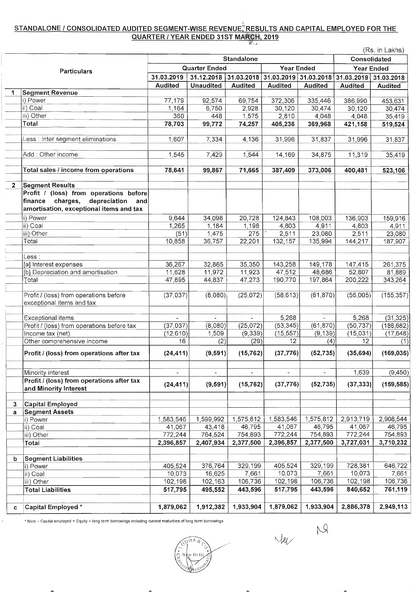## STANDALONE / CONSOLIDATED AUDITED SEGMENT-WISE REVENUE<sup>\*</sup>RESULTS AND CAPITAL EMPLOYED FOR THE QUARTER / YEAR ENDED 31ST MARCH, 2019

|              |                                            |                |                      |                     |                          |                          |                     | (Rs. in Lakhs)      |
|--------------|--------------------------------------------|----------------|----------------------|---------------------|--------------------------|--------------------------|---------------------|---------------------|
|              |                                            |                |                      | <b>Standalone</b>   |                          |                          | <b>Consolidated</b> |                     |
|              |                                            |                | <b>Quarter Ended</b> |                     | <b>Year Ended</b>        |                          | <b>Year Ended</b>   |                     |
|              | Particulars                                | 31.03.2019     | 31.12.2018           | 31.03.2018          | 31.03.2019 31.03.2018    |                          | 31.03.2019          | 31.03.2018          |
|              |                                            | <b>Audited</b> | <b>Unaudited</b>     | <b>Audited</b>      | <b>Audited</b>           | <b>Audited</b>           | Audited             | <b>Audited</b>      |
| 1            | <b>Segment Revenue</b>                     |                |                      |                     |                          |                          |                     |                     |
|              | i) Power                                   | 77,179         | 92,574               | 69,754              | 372,306                  | 335,446                  | 386,990             | 453,631             |
|              | ii) Coal                                   | 1,164          | 6,750                | 2,928               | 30,120                   | 30,474                   | 30,120              | 30,474              |
|              | iii) Other                                 | 360            | 448                  | 1,575               | 2,810                    | 4,048                    | 4,048               | 35,419              |
|              | Total                                      | 78,703         | 99,772               | 74,257              | 405,236                  | 369,968                  | 421,158             | 519,524             |
|              |                                            |                |                      |                     |                          |                          |                     |                     |
|              | Less : Inter segment eliminations          | 1,607          | 7,334                | 4,136               | 31,996                   | 31,837                   | 31,996              | 31,837              |
|              | Add: Other income                          | 1,545          | 7,429                | 1,544               | 14,169                   | 34,875                   | 11,319              | 35,419              |
|              | Total sales / income from operations       | 78,641         | 99,867               | 71,665              | 387,409                  | 373,006                  | 400,481             | 523,106             |
|              |                                            |                |                      |                     |                          |                          |                     |                     |
| $\mathbf{2}$ | <b>Segment Results</b>                     |                |                      |                     |                          |                          |                     |                     |
|              | Profit / (loss) from operations before     |                |                      |                     |                          |                          |                     |                     |
|              | charges,<br>depreciation<br>finance<br>and |                |                      |                     |                          |                          |                     |                     |
|              | amortisation, exceptional items and tax    |                |                      |                     |                          |                          |                     |                     |
|              | i) Power                                   | 9,644          | 34,098               | 20,728              | 124,843                  | 108,003                  | 136,903             | 159,916             |
|              | ii) Coal                                   | 1,265          | 1,184                | 1,198               | 4,803                    | 4,911                    | 4,803               | 4,911               |
|              | iii) Other                                 | (51)           | 1,475                | 275                 | 2,511                    | 23,080                   | 2,511               | 23,080              |
|              | Total                                      | 10,858         | 36,757               | 22,201              | 132,157                  | 135,994                  | 144,217             | 187,907             |
|              |                                            |                |                      |                     |                          |                          |                     |                     |
|              | Less :                                     |                |                      |                     |                          |                          |                     |                     |
|              | [a] Interest expenses                      | 36,267         | 32,865               | 35,350              | 143,258                  | 149,178                  | 147,415             | 261,375             |
|              | [b] Depreciation and amortisation          | 11,628         | 11,972               | 11,923              | 47,512                   | 48,686                   | 52,807              | 81,889              |
|              | Total                                      | 47,895         | 44,837               | 47,273              | 190,770                  | 197,864                  | 200,222             | 343,264             |
|              |                                            |                |                      |                     |                          |                          |                     |                     |
|              | Profit / (loss) from operations before     | (37,037)       | (8,080)              | (25, 072)           | (58, 613)                | (61, 870)                | (56,005)            | (155, 357)          |
|              | exceptional items and tax                  |                |                      |                     |                          |                          |                     |                     |
|              |                                            |                |                      |                     |                          |                          |                     |                     |
|              | Exceptional items                          | $\mathbf{r}$   | $\blacksquare$       | $\frac{1}{2}$       | 5,268                    | $\sim$<br>(61, 870)      | 5,268               | (31, 325)           |
|              | Profit / (loss) from operations before tax | (37, 037)      | (8,080)              | (25,072)            | (53, 345)                |                          | (50, 737)           | (186, 682)          |
|              | Income tax (net)                           | (12, 610)      | 1,509                | (9,339)             | (15, 557)<br>12          | (9, 139)                 | (15,031)<br>12      | (17, 648)           |
|              | Other comprehensive income                 | 16             | (2)                  | (29)                |                          | (4)                      |                     | (1)                 |
|              | Profit / (loss) from operations after tax  | (24, 411)      | (9,591)              | (15, 762)           | (37, 776)                | (52, 735)                | (35,694)            | (169, 035)          |
|              | Minority interest                          | $\blacksquare$ | ÷.                   | ÷.                  | $\overline{\phantom{a}}$ | $\overline{\phantom{a}}$ | 1,639               | (9,450)             |
|              | Profit / (loss) from operations after tax  |                |                      |                     |                          |                          |                     |                     |
|              | and Minority Interest                      | (24, 411)      | (9,591)              | (15, 762)           | (37, 776)                | (52, 735)                | (37, 333)           | (159, 585)          |
|              |                                            |                |                      |                     |                          |                          |                     |                     |
| 3            | Capital Employed                           |                |                      |                     |                          |                          |                     |                     |
| a            | <b>Segment Assets</b>                      |                |                      |                     |                          |                          |                     |                     |
|              | i) Power                                   | 1,583,546      | 1,599,992<br>43,418  | 1,575,812<br>46,795 | 1,583,546<br>41,067      | 1,575,812<br>46,795      | 2,913,719<br>41,067 | 2,908,544<br>46,795 |
|              | ii) Coal                                   | 41,067         |                      | 754,893             |                          | 754,893                  |                     | 754,893             |
|              | iii) Other                                 | 772,244        | 764,524              |                     | 772,244                  |                          | 772,244             |                     |
|              | Total                                      | 2,396,857      | 2,407,934            | 2,377,500           | 2,396,857                | 2,377,500                | 3,727,031           | 3,710,232           |
| b            | <b>Segment Liabilities</b>                 |                |                      |                     |                          |                          |                     |                     |
|              | i) Power                                   | 405,524        | 376,764              | 329,199             | 405,524                  | 329,199                  | 728,381             | 646,722             |
|              | ii) Coal                                   | 10,073         | 16,625               | 7,661               | 10,073                   | 7,661                    | 10,073              | 7,661               |
|              | iii) Other                                 | 102,198        | 102,163              | 106,736             | 102,198                  | 106,736                  | 102,198             | 106,736             |
|              | <b>Total Liabilities</b>                   | 517,795        | 495,552              | 443,596             | 517,795                  | 443,596                  | 840,652             | 761,119             |
|              |                                            |                |                      |                     |                          |                          |                     |                     |
| c            | Capital Employed *                         | 1,879,062      | 1,912,382            | 1,933,904           | 1,879,062                | 1,933,904                | 2,886,378           | 2,949,113           |

• Note :- Capital employed = Equity + long term borrowings including current maturities of long term borrowings

ÏΠ Æ

 $M_{\ell}$   $M_{\ell}$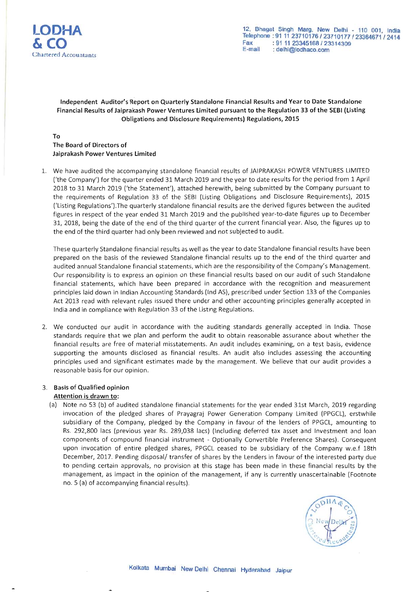

### Independent Auditor's Report on Quarterly Standalone Financial Results and Year to Date Standalone Financial Results of Jaiprakash Power Ventures Limited pursuant to the Regulation 33 of the SEBI (Listing Obligations and Disclosure Requirements) Regulations, 2015

### To The Board of Directors of Jaiprakash Power Ventures Limited

1. We have audited the accompanying standalone financial results of JAIPRAKASH POWER VENTURES LIMITED ('the Company') for the quarter ended 31 March 2019 and the year to date results for the period from 1 April 2018 to 31 March 2019 ('the Statement'), attached herewith, being submitted by the Company pursuant to the requirements of Regulation 33 of the SEBI (Listing Obligations and Disclosure Requirements), 2015 ('Listing Regulations').The quarterly standalone financial results are the derived figures between the audited figures in respect of the year ended 31 March 2019 and the published year-to-date figures up to December 31, 2018, being the date of the end of the third quarter of the current financial year. Also, the figures up to the end of the third quarter had only been reviewed and not subjected to audit.

These quarterly Standalone financial results as well as the year to date Standalone financial results have been prepared on the basis of the reviewed Standalone financial results up to the end of the third quarter and audited annual Standalone financial statements, which are the responsibility of the Company's Management. Our responsibility is to express an opinion on these financial results based on our audit of such Standalone financial statements, which have been prepared in accordance with the recognition and measurement principles laid down in Indian Accounting Standards (Ind AS), prescribed under Section 133 of the Companies Act 2013 read with relevant rules issued there under and other accounting principles generally accepted in India and in compliance with Regulation 33 of the Listing Regulations.

2. We conducted our audit in accordance with the auditing standards generally accepted in India. Those standards require that we plan and perform the audit to obtain reasonable assurance about whether the financial results are free of material misstatements. An audit includes examining, on a test basis, evidence supporting the amounts disclosed as financial results. An audit also includes assessing the accounting principles used and significant estimates made by the management. We believe that our audit provides a reasonable basis for our opinion.

### 3. Basis of Qualified opinion

### Attention is drawn to:

(a) Note no 53 (b) of audited standalone financial statements for the year ended 31st March, 2019 regarding invocation of the pledged shares of Prayagraj Power Generation Company Limited (PPGCL), erstwhile subsidiary of the Company, pledged by the Company in favour of the lenders of PPGCL, amounting to Rs. 292,800 lacs (previous year Rs. 289,038 lacs) (Including deferred tax asset and Investment and loan components of compound financial instrument - Optionally Convertible Preference Shares). Consequent upon invocation of entire pledged shares, PPGCL ceased to be subsidiary of the Company w.e.f 18th December, 2017. Pending disposal/ transfer of shares by the Lenders in favour of the interested party due to pending certain approvals, no provision at this stage has been made in these financial results by the management, as impact in the opinion of the management, if any is currently unascertainable (Footnote no. 5 (a) of accompanying financial results).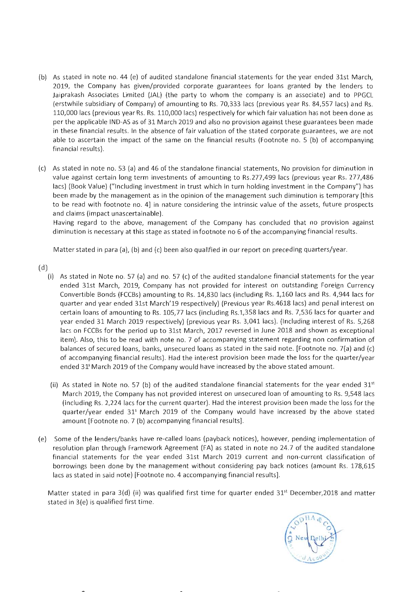- (b) As stated in note no. 44 (e) of audited standalone financial statements for the year ended 31st March, 2019, the Company has given/provided corporate guarantees for loans granted by the lenders to Jaiprakash Associates Limited (JAL) (the party to whom the company is an associate) and to PPGCL (erstwhile subsidiary of Company) of amounting to Rs. 70,333 lacs (previous year Rs. 84,557 lacs) and Rs. 110,000 lacs (previous year Rs . Rs. 110,000 lacs) respectively for which fair valuation has not been done as per the applicable IND-AS as of 31 March 2019 and also no provision against these guarantees been made in these financial results. In the absence of fair valuation of the stated corporate guarantees, we are not able to ascertain the impact of the same on the financial results (Footnote no. 5 (b) of accompanying financial results).
- (c) As stated in note no. 53 (a) and 46 of the sta ndalone financial statements, No provision for diminution in value against certain long term investments of amounting to Rs .277,499 lacs (previous year Rs. 277,486 lacs) (Book Value) ("Including investment in trust which in turn holding investment in the Company") has been made by the management as in the opinion of the management such diminution is temporary [this to be read with footnote no. 4] in nature considering the intrinsic value of the assets, future prospects and claims (impact unascertainable).

Having regard to the above, management of the Company has concluded that no provision against diminution is necessary at this stage as stated in footnote no 6 of the accompanying financial results.

Matter stated in para (a), (b) and (c) been also qualified in our report on preceding quarters/year.

(d)

- (i) As stated in Note no. 57 (a) and no. 57 (c) of the audited standalone financial statements for the year ended 31st March, 2019, Company has not provided for interest on outstanding Foreign Currency Convertible Bonds (FCCBs) amounting to Rs . 14,830 lacs (including Rs . 1,160 lacs and Rs. 4,944 lacs for quarter and year ended 31st March'19 respectively) (Previous year Rs.4618 lacs) and penal interest on certain loans of amounting to Rs . 105,77 lacs (including Rs.1,358 lacs and Rs . 7,536 lacs for quarter and year ended 31 March 2019 respectively) (previous year Rs. 3,041 lacs). (Including interest of Rs. 5,268 lacs on FCCBs for the period up to 31st March, 2017 reversed in June 2018 and shown as exceptional item). Also, this to be read with note no. 7 of accompanying statement regarding non confirmation of balances of secured loans, banks, unsecured loans as stated in the said note. [Footnote no. 7(a) and (c) of accompanying financial results). Had the interest provision been made the loss for the quarter/year ended  $31<sup>s</sup>$  March 2019 of the Company would have increased by the above stated amount.
- (ii) As stated in Note no. 57 (b) of the audited standalone financial statements for the year ended  $31<sup>st</sup>$ March 2019, the Company has not provided interest on unsecured loan of amounting to Rs. 9,548 lacs (including Rs. 2,224 lacs for the current quarter). Had the interest provision been made the loss for the quarter/year ended 315 March 2019 of the Company would have increased by the above stated amount [Footnote no. 7 (b) accompanying financial results].
- (e) Some of the lenders/banks have re-called loans (payback notices), however, pending implementation of resolution plan through Framework Agreement (FA) as stated in note no 24.7 of the audited standalone financial statements for the year ended 31st March 2019 current and non-current classification of borrowings been done by the management without considering pay back notices (amount Rs. 178,615 lacs as stated in said note) [Footnote no. 4 accompanying financial results].

Matter stated in para  $3(d)$  (ii) was qualified first time for quarter ended  $31<sup>st</sup>$  December, 2018 and matter stated in 3(e) is qualified first time.

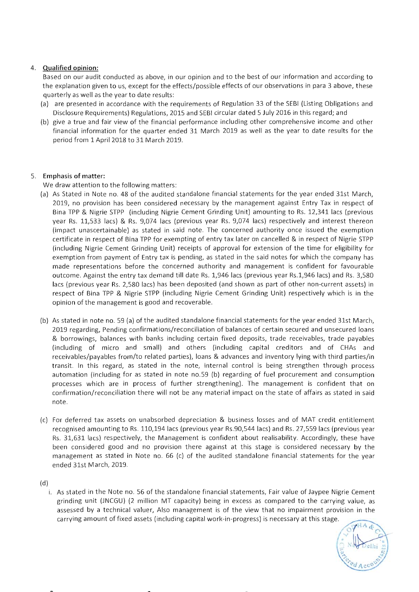### 4. Qualified opinion:

Based on our audit conducted as above, in our opinion and to the best of our information and according to the explanation given to us, except for the effects/possible effects of our observations in para 3 above, these quarterly as well as the year to date results:

- (a) are presented in accordance with the requirements of Regulation 33 of the SEBI (Listing Obligations and Disclosure Requirements) Regulations, 2015 and SEBI circular dated 5 July 2016 in this regard; and
- (b) give a true and fair view of the financial performance including other comprehensive income and other financial information for the quarter ended 31 March 2019 as well as the year to date results for the period from 1 April 2018 to 31 March 2019.

### 5. Emphasis of matter:

We draw attention to the following matters:

- (a) As Stated in Note no. 48 of the audited standalone financial statements for the year ended 31st March, 2019, no provision has been considered necessary by the management against Entry Tax in respect of Bina TPP & Nigrie STPP (including Nigrie Cement Grinding Unit) amounting to Rs . 12,341 lacs (previous year Rs. 11,533 lacs) & Rs. 9,074 lacs (previous year Rs. 9,074 lacs) respectively and interest thereon (impact unascertainable) as stated in said note. The concerned authority once issued the exemption certificate in respect of Bina TPP for exempting of entry tax later on cancelled & in respect of Nigrie STPP (including Nigrie Cement Grinding Unit) receipts of approval for extension of the time for eligibility for exemption from payment of Entry tax is pending, as stated in the said notes for which the company has made representations before the concerned authority and management is confident for favourable outcome. Against the entry tax demand till date Rs . 1,946 lacs (previous year Rs.l,946 lacs) and Rs. 3,580 lacs (previous year Rs. 2,580 lacs) has been deposited (and shown as part of other non-current assets) in respect of Bina TPP & Nigrie STPP (including Nigrie Cement Grinding Unit) respectively which is in the opinion of the management is good and recoverable.
- (b) As stated in note no. 59 (a) of the audited standalone financial statements for the year ended 31st March, 2019 regarding, Pending confirmations/reconciliation of balances of certain secured and unsecured loans & borrowings, balances with banks including certain fixed deposits, trade receivables, trade payables (including of micro and small) and others (including capital creditors and of CHAs and receivables/payables from/to related parties), loans & advances and inventory lying with third parties/in transit. In this regard, as stated in the note, internal control is being strengthen through process automation (including for as stated in note no.59 (b) regarding of fuel procurement and consumption processes which are in process of further strengthening). The management is confident that on confirmation/reconciliation there will not be any material impact on the state of affairs as stated in said note.
- (c) For deferred tax assets on unabsorbed depreciation & business losses and of MAT credit entitlement recognised amounting to Rs. 110,194 lacs (previous year Rs.90,544 lacs) and Rs. 27,559 lacs (previous year Rs. 31,631 lacs) respectively, the Management is confident about realisability. Accordingly, these have been considered good and no provision there against at this stage is considered necessary by the management as stated in Note no.  $66$  (c) of the audited standalone financial statements for the year ended 31st March, 2019.

(d)

i. As stated in the Note no. 56 of the standalone financial statements, Fair value of Jaypee Nigrie Cement grinding unit (JNCGU) (2 million MT capacity) being in excess as compared to the carrying value, as assessed by a technical valuer, Also management is of the view that no impairment provision in the carrying amount of fixed assets (including capital work-in-progress) is necessary at this stage.

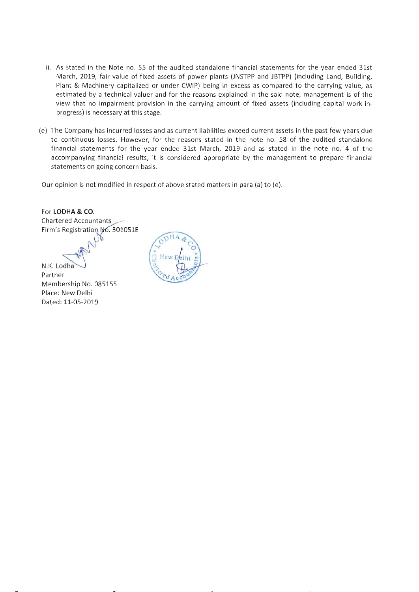- ii. As stated in the Note no. 55 of the audited standalone financial statements for the year ended 31st March, 2019, fair value of fixed assets of power plants (JNSTPP and JBTPP) (including Land, Building, Plant & Machinery capitalized or under CWIP) being in excess as compared to the carrying value, as estimated by a technical valuer and for the reasons explained in the said note, management is of the view that no impairment provision in the carrying amount of fixed assets (including capital work-inprogress) is necessary at this stage.
- (e) The Company has incurred losses and as current liabilities exceed current assets in the past few years due to continuous losses. However, for the reasons stated in the note no. 58 of the audited standalone financial statements for the year ended 31st March, 2019 and as stated in the note no. 4 of the accompanying financial results, it is considered appropriate by the management to prepare financial statements on going concern basis.

Our opinion is not modified in respect of above stated matters in para (a) to (e).

For **LODHA & CO.**  Chartered Accountants Firm's Registration No. 301051E

N.K. Lodha

Partner Membership No. 085155 Place: New Delhi Dated: 11-05-2019

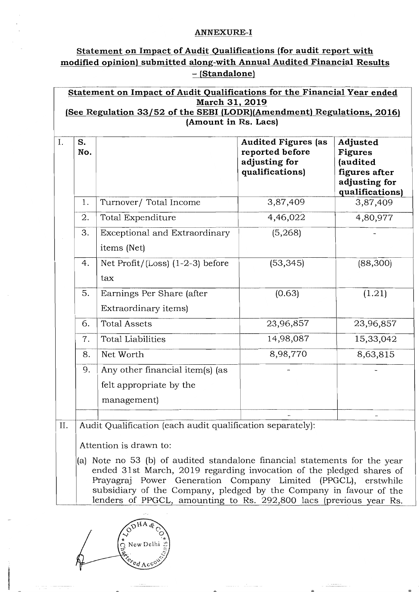## ANNEXURE-I

# Statement on Impact of Audit Qualifications (for audit report with modified opinion) submitted along-with Annual Audited Financial Results - (Standalone)

| S.<br>No. |                                                                           | <b>Audited Figures (as</b><br>reported before<br>adjusting for<br>qualifications) | Adjusted<br><b>Figures</b><br>(audited<br>figures after<br>adjusting for<br>qualifications) |
|-----------|---------------------------------------------------------------------------|-----------------------------------------------------------------------------------|---------------------------------------------------------------------------------------------|
| 1.        | Turnover/ Total Income                                                    | 3,87,409                                                                          | 3,87,409                                                                                    |
| 2.        | Total Expenditure                                                         | 4,46,022                                                                          | 4,80,977                                                                                    |
| 3.        | Exceptional and Extraordinary<br>items (Net)                              | (5,268)                                                                           |                                                                                             |
| 4.        | Net Profit/ $(Loss)$ $(1-2-3)$ before<br>tax                              | (53, 345)                                                                         | (88, 300)                                                                                   |
| 5.        | Earnings Per Share (after<br>Extraordinary items)                         | (0.63)                                                                            | (1.21)                                                                                      |
| 6.        | <b>Total Assets</b>                                                       | 23,96,857                                                                         | 23,96,857                                                                                   |
| 7.        | <b>Total Liabilities</b>                                                  | 14,98,087                                                                         | 15,33,042                                                                                   |
| 8.        | Net Worth                                                                 | 8,98,770                                                                          | 8,63,815                                                                                    |
| 9.        | Any other financial item(s) (as<br>felt appropriate by the<br>management) |                                                                                   |                                                                                             |
|           |                                                                           |                                                                                   |                                                                                             |

(a) Note no 53 (b) of audited standalone financial statements for the year ended 31 st March, 2019 regarding invocation of the pledged shares of Prayagraj Power Generation Company Limited (PPGCL), erstwhile subsidiary of the Company, pledged by the Company in favour of the lenders of PPGCL, amounting to Rs. 292,800 lacs (previous year Rs.

New Del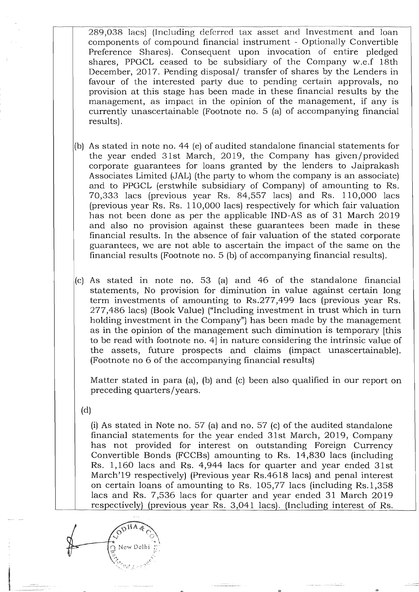289,038 lacs) (Including deferred tax asset and Investment and loan components of compound financial instrument - Optionally Convertible Preference Sharcs). Consequent upon invocation of entire pledged shares, PPGCL ceased to be subsidiary of the Company w.e.f 18th December, 2017. Pending disposal/ transfer of shares by the Lenders in favour of the interested party due to pending certain approvals, no provision at this stage has been made in these financial results by the management, as impact in the opinion of the management, if any is currently unascertainable (Footnote no. 5 (a) of accompanying financial results).

- (b) As stated in note no. 44 (e) of audited standalone financial statements for the year ended 31st March, 2019, the Company has given/provided corporate guarantees for loans granted by the lenders to Jaiprakash Associates Limited (JAL) (the party to whom the company is an associate) and to PPGCL (erstwhile subsidiary of Company) of amounting to Rs. 70,333 lacs (previous year Rs. 84,557 lacs) and Rs. 110,000 lacs (previous year Rs. Rs. 110,000 lacs) respectively for which fair valuation has not been done as per the applicable IND-AS as of 31 March 2019 and also no provision against these guarantees been made in these financial results. In the absence of fair valuation of the stated corporate guarantees, we are not able to ascertain the impact of the same on the financial results (Footnote no. 5 (b) of accompanying financial results).
- $|c|$  As stated in note no. 53 (a) and 46 of the standalone financial statements, No provision for diminution in value against certain long term investments of amounting to Rs.277,499 lacs (previous year Rs. 277,486 lacs) (Book Value) ("Including investment in trust which in turn holding investment in the Company") has been made by the management as in the opinion of the management such diminution is temporary [this to be read with footnote no. 4] in nature considering the intrinsic value of the assets, future prospects and claims (impact unascertainable). (Footnote no 6 of the accompanying financial results)

Matter stated in para (a), (b) and (c) been also qualified in our report on preceding quarters/years.

(d)

(i) As stated in Note no. 57 (a) and no. 57 (c) of the audited standalone financial statements for the year ended 31st March, 2019, Company has not provided for interest on outstanding Foreign Currency Convertible Bonds (FCCBs) amounting to Rs. 14,830 lacs (including Rs. 1,160 lacs and Rs. 4,944 lacs for quarter and year ended 31st March'19 respectively) (Previous year Rs.4618 lacs) and penal interest on certain loans of amounting to Rs. 105,77 lacs (including Rs.1,358 lacs and Rs. 7,536 lacs for quarter and year ended 31 March 2019 respectively) (previous year Rs. 3,041 lacs). (Including interest of Rs.\_

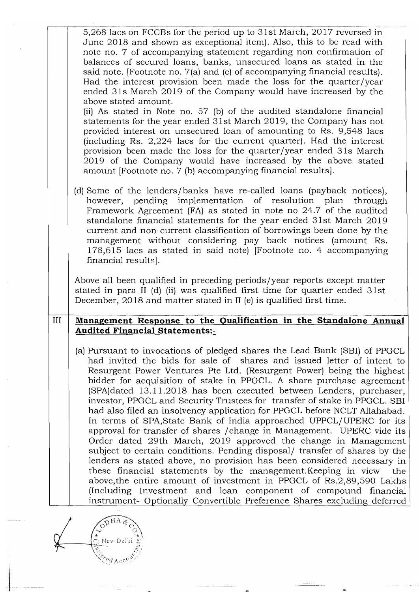| 5,268 lacs on FCCBs for the period up to 31st March, 2017 reversed in<br>June 2018 and shown as exceptional item). Also, this to be read with<br>note no. 7 of accompanying statement regarding non confirmation of<br>balances of secured loans, banks, unsecured loans as stated in the<br>said note. [Footnote no. 7(a) and (c) of accompanying financial results).<br>Had the interest provision been made the loss for the quarter/year<br>ended 31s March 2019 of the Company would have increased by the<br>above stated amount.<br>(ii) As stated in Note no. 57 (b) of the audited standalone financial<br>statements for the year ended 31st March 2019, the Company has not<br>provided interest on unsecured loan of amounting to Rs. 9,548 lacs<br>(including Rs. 2,224 lacs for the current quarter). Had the interest<br>provision been made the loss for the quarter/year ended 31s March<br>2019 of the Company would have increased by the above stated<br>amount [Footnote no. 7 (b) accompanying financial results].                          |
|-------------------------------------------------------------------------------------------------------------------------------------------------------------------------------------------------------------------------------------------------------------------------------------------------------------------------------------------------------------------------------------------------------------------------------------------------------------------------------------------------------------------------------------------------------------------------------------------------------------------------------------------------------------------------------------------------------------------------------------------------------------------------------------------------------------------------------------------------------------------------------------------------------------------------------------------------------------------------------------------------------------------------------------------------------------------|
| (d) Some of the lenders/banks have re-called loans (payback notices),<br>however, pending implementation of resolution plan through<br>Framework Agreement (FA) as stated in note no 24.7 of the audited<br>standalone financial statements for the year ended 31st March 2019<br>current and non-current classification of borrowings been done by the<br>management without considering pay back notices (amount Rs.<br>178,615 lacs as stated in said note) [Footnote no. 4 accompanying<br>financial results.                                                                                                                                                                                                                                                                                                                                                                                                                                                                                                                                                 |
| Above all been qualified in preceding periods/year reports except matter<br>stated in para II (d) (ii) was qualified first time for quarter ended 31st<br>December, 2018 and matter stated in II (e) is qualified first time.                                                                                                                                                                                                                                                                                                                                                                                                                                                                                                                                                                                                                                                                                                                                                                                                                                     |
| Management Response to the Qualification in the Standalone Annual                                                                                                                                                                                                                                                                                                                                                                                                                                                                                                                                                                                                                                                                                                                                                                                                                                                                                                                                                                                                 |
| <b>Audited Financial Statements:-</b>                                                                                                                                                                                                                                                                                                                                                                                                                                                                                                                                                                                                                                                                                                                                                                                                                                                                                                                                                                                                                             |
| (a) Pursuant to invocations of pledged shares the Lead Bank (SBI) of PPGCL<br>had invited the bids for sale of shares and issued letter of intent to<br>Resurgent Power Ventures Pte Ltd. (Resurgent Power) being the highest<br>bidder for acquisition of stake in PPGCL. A share purchase agreement<br>(SPA)dated 13.11.2018 has been executed between Lenders, purchaser,<br>investor, PPGCL and Security Trustees for transfer of stake in PPGCL. SBI<br>had also filed an insolvency application for PPGCL before NCLT Allahabad.<br>In terms of SPA, State Bank of India approached UPPCL/UPERC for its<br>approval for transfer of shares / change in Management. UPERC vide its<br>Order dated 29th March, 2019 approved the change in Management<br>subject to certain conditions. Pending disposal/ transfer of shares by the<br>lenders as stated above, no provision has been considered necessary in<br>these financial statements by the management. Keeping in view<br>the<br>above, the entire amount of investment in PPGCL of Rs.2,89,590 Lakhs |
|                                                                                                                                                                                                                                                                                                                                                                                                                                                                                                                                                                                                                                                                                                                                                                                                                                                                                                                                                                                                                                                                   |

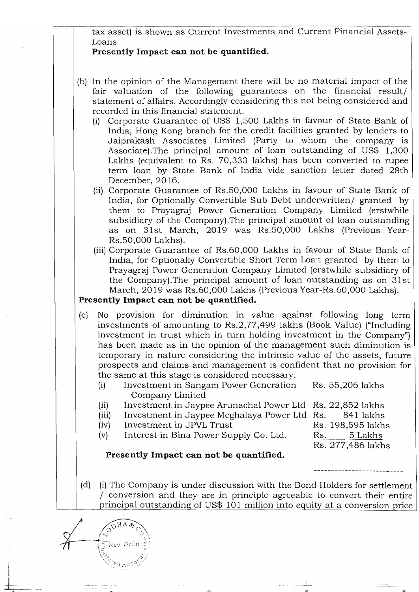tax asset) is shown as Current Investments and Current Financial Assets-Loans

# Presently Impact can not be quantified.

- (b) In the opinion of the Management there will be no material impact of the fair valuation of the following guarantees on the financial result/ statement of affairs. Accordingly considering this not being considered and recorded in this financial statement.
	- (i) Corporate Guarantee of US\$ 1,500 Lakhs in favour of State Bank of India, Hong Kong branch for the credit facilities granted by lenders to Jaiprakash Associates Limited (Party to whom the company is Associate). The principal amount of loan outstanding of US\$  $1,300$ Lakhs (equivalent to Rs. 70,333 lakhs) has been converted to rupee term loan by State Bank of India vide sanction letter dated 28th December, 2016.
	- (ii) Corporate Guarantee of Rs.50,000 Lakhs in favour of State Bank of India, for Optionally Convertible Sub Debt underwritten/ granted by them to Prayagraj Power Generation Company Limited (erstwhile subsidiary of the Company).The principal amount of loan outstanding as on 31st March, 2019 was Rs.50,000 Lakhs (Previous Year-Rs.50,000 Lakhs).
	- (iii) Corporate Guarantee of Rs.60,000 Lakhs in favour of State Bank of India, for Optionally Convertible Short Term Loan granted by them to Prayagraj Power Generation Company Limited (erstwhile subsidiary of the Company).The principal amount of loan outstanding as on 31st March, 2019 was Rs.60,000 Lakhs (Previous Year-Rs.60,000 Lakhs).

# Presently Impact can not be quantified.

- (c) No provision for diminution in value against following long term investments of amounting to Rs.2,77,499 lakhs (Book Value) ("Including investment in trust which in turn holding investment in the Company") has been made as in the opinion of the management such diminution is temporary in nature considering the intrinsic value of the assets, future prospects and claims and management is confident that no provision for the same at this stage is considered necessary.
	- (i) Investment in Sangam Power Generation Rs. 55,206 lakhs Company Limited
	- (ii) Investment in Jaypee Arunachal Power Ltd Rs. 22,852 lakhs
	- (iii) Investment in Jaypee Meghalaya Power Ltd Rs. 841 lakhs
	- (iv) Investment in JPVL Trust Rs. 198,595 lakhs
	- (v) Interest in Bina Power Supply Co. Ltd.  $\overline{Rs.}$  5 Lakhs

Rs. 277,486 lakhs

# Presently Impact can not **be** quantified.

(d) (i) The Company is under discussion with the Bond Holders for settlement / conversion and they are in principle agreeable to convert their entire principal outstanding of US\$ 101 million into equity at a conversion price

ODHA &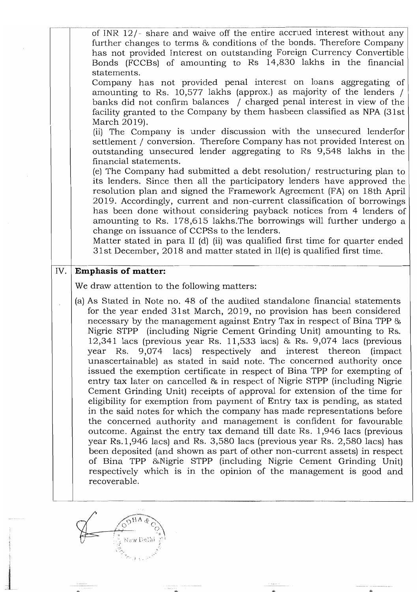| of INR $12/-$ share and waive off the entire accrued interest without any<br>further changes to terms & conditions of the bonds. Therefore Company                                                                                                                                                                                                                                                                                                                                                                                                                                                                                                                                                                                                                                                                                                                                                                                                                                                                                                                                                                                                                                                                                                                                                                                                                                                 |
|----------------------------------------------------------------------------------------------------------------------------------------------------------------------------------------------------------------------------------------------------------------------------------------------------------------------------------------------------------------------------------------------------------------------------------------------------------------------------------------------------------------------------------------------------------------------------------------------------------------------------------------------------------------------------------------------------------------------------------------------------------------------------------------------------------------------------------------------------------------------------------------------------------------------------------------------------------------------------------------------------------------------------------------------------------------------------------------------------------------------------------------------------------------------------------------------------------------------------------------------------------------------------------------------------------------------------------------------------------------------------------------------------|
| has not provided Interest on outstanding Foreign Currency Convertible<br>Bonds (FCCBs) of amounting to Rs 14,830 lakhs in the financial<br>statements.<br>Company has not provided penal interest on loans aggregating of<br>amounting to Rs. 10,577 lakhs (approx.) as majority of the lenders /<br>banks did not confirm balances / charged penal interest in view of the<br>facility granted to the Company by them hasbeen classified as NPA (31st)<br>March 2019).<br>(ii) The Company is under discussion with the unsecured lenderfor<br>settlement / conversion. Therefore Company has not provided Interest on<br>outstanding unsecured lender aggregating to Rs 9,548 lakhs in the<br>financial statements.<br>(e) The Company had submitted a debt resolution/ restructuring plan to<br>its lenders. Since then all the participatory lenders have approved the<br>resolution plan and signed the Framework Agreement (FA) on 18th April<br>2019. Accordingly, current and non-current classification of borrowings<br>has been done without considering payback notices from 4 lenders of<br>amounting to Rs. 178,615 lakhs. The borrowings will further undergo a<br>change on issuance of CCPSs to the lenders.<br>Matter stated in para II (d) (ii) was qualified first time for quarter ended<br>31st December, 2018 and matter stated in II(e) is qualified first time.           |
| <b>Emphasis of matter:</b><br>IV.                                                                                                                                                                                                                                                                                                                                                                                                                                                                                                                                                                                                                                                                                                                                                                                                                                                                                                                                                                                                                                                                                                                                                                                                                                                                                                                                                                  |
| We draw attention to the following matters:                                                                                                                                                                                                                                                                                                                                                                                                                                                                                                                                                                                                                                                                                                                                                                                                                                                                                                                                                                                                                                                                                                                                                                                                                                                                                                                                                        |
| (a) As Stated in Note no. 48 of the audited standalone financial statements<br>for the year ended 31st March, 2019, no provision has been considered<br>necessary by the management against Entry Tax in respect of Bina TPP &<br>Nigrie STPP (including Nigrie Cement Grinding Unit) amounting to Rs.<br>$12,341$ lacs (previous year Rs. 11,533 lacs) & Rs. 9,074 lacs (previous<br>year Rs. 9,074 lacs) respectively and interest thereon (impact<br>unascertainable) as stated in said note. The concerned authority once<br>issued the exemption certificate in respect of Bina TPP for exempting of<br>entry tax later on cancelled & in respect of Nigrie STPP (including Nigrie<br>Cement Grinding Unit) receipts of approval for extension of the time for<br>eligibility for exemption from payment of Entry tax is pending, as stated<br>in the said notes for which the company has made representations before<br>the concerned authority and management is confident for favourable<br>outcome. Against the entry tax demand till date Rs. 1,946 lacs (previous<br>year Rs.1,946 lacs) and Rs. 3,580 lacs (previous year Rs. 2,580 lacs) has<br>been deposited (and shown as part of other non-current assets) in respect<br>of Bina TPP & Nigrie STPP (including Nigrie Cement Grinding Unit)<br>respectively which is in the opinion of the management is good and<br>recoverable. |



sales.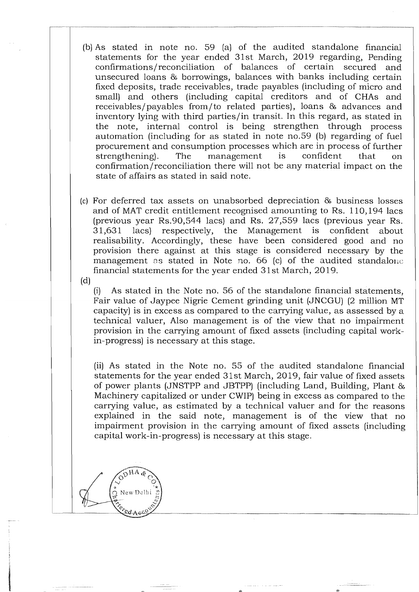- (b) As stated in note no. 59 (a) of the audited standalone financial statements for the year ended 31st March, 2019 regarding, Pending confirmations / reconciliation of balances of certain secured and unsecured loans & borrowings, balances with banks including certain fixed deposits, trade receivables, trade payables (including of micro and small) and others (including capital creditors and of CHAs and receivables/payables from/to related parties), loans & advances and inventory lying with third parties/in transit. In this regard, as stated in the note, internal control is being strengthen through process automation (including for as stated in note no.59 (b) regarding of fuel procurement and consumption processes which are in process of further strengthening). The management is confident that on confirmation/ reconciliation there will not be any material impact on the state of affairs as stated in said note.
- (c) For deferred tax assets on unabsorbed depreciation & business losses and of MAT credit entitlement recognised amounting to Rs. 110,194 lacs (previous year Rs.90,544 lacs) and Rs. 27,559 lacs (previous year Rs. 31,631 lacs) respectively, the Management is confident about realisability. Accordingly, these have been considered good and no provision there against at this stage is considered necessary by the management as stated in Note no. 66 (c) of the audited standalone financial statements for the year ended 31st March, 2019.
- (d)

(i) As stated in the Note no. 56 of the standalone financial statements, Fair value of Jaypee Nigrie Cement grinding unit (JNCGU) (2 million MT capacity) is in excess as compared to the carrying value, as assessed by a technical valuer, Also management is of the view that no impairment provision in the carrying amount of fixed assets (including capital workin-progress) is necessary at this stage.

(ii) As stated in the Note no. 55 of the audited standalone financial statements for the year ended 31 st March, 2019, fair value of fixed assets of power plants (JNSTPP and JBTPP) (including Land, Building, Plant & Machinery capitalized or under CWIP) being in excess as compared to the carrying value, as estimated by a technical valuer and for the reasons explained in the said note, management is of the view that no impairment provision in the carrying amount of fixed assets (including capital work-in-progress) is necessary at this stage.

New Delh  $\frac{1}{2}$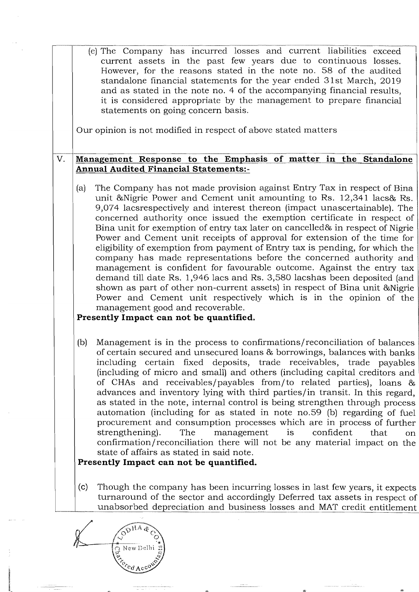| (e) The Company has incurred losses and current liabilities exceed<br>current assets in the past few years due to continuous losses.<br>However, for the reasons stated in the note no. 58 of the audited<br>standalone financial statements for the year ended 31st March, 2019<br>and as stated in the note no. 4 of the accompanying financial results,<br>it is considered appropriate by the management to prepare financial<br>statements on going concern basis.<br>Our opinion is not modified in respect of above stated matters<br>V.<br>Management Response to the Emphasis of matter in the Standalone<br><b>Annual Audited Financial Statements:-</b><br>The Company has not made provision against Entry Tax in respect of Bina<br>(a)<br>unit & Nigrie Power and Cement unit amounting to Rs. 12,341 lacs & Rs.<br>9,074 lacsrespectively and interest thereon (impact unascertainable). The<br>concerned authority once issued the exemption certificate in respect of<br>Bina unit for exemption of entry tax later on cancelled & in respect of Nigrie<br>Power and Cement unit receipts of approval for extension of the time for<br>eligibility of exemption from payment of Entry tax is pending, for which the<br>company has made representations before the concerned authority and<br>management is confident for favourable outcome. Against the entry tax<br>demand till date Rs. 1,946 lacs and Rs. 3,580 lacshas been deposited (and<br>shown as part of other non-current assets) in respect of Bina unit & Nigrie<br>Power and Cement unit respectively which is in the opinion of the<br>management good and recoverable.<br>Presently Impact can not be quantified.<br>Management is in the process to confirmations/reconciliation of balances<br>(b)<br>of certain secured and unsecured loans & borrowings, balances with banks<br>including certain fixed deposits, trade receivables, trade payables<br>(including of micro and small) and others (including capital creditors and<br>of CHAs and receivables/payables from/to related parties), loans & |
|------------------------------------------------------------------------------------------------------------------------------------------------------------------------------------------------------------------------------------------------------------------------------------------------------------------------------------------------------------------------------------------------------------------------------------------------------------------------------------------------------------------------------------------------------------------------------------------------------------------------------------------------------------------------------------------------------------------------------------------------------------------------------------------------------------------------------------------------------------------------------------------------------------------------------------------------------------------------------------------------------------------------------------------------------------------------------------------------------------------------------------------------------------------------------------------------------------------------------------------------------------------------------------------------------------------------------------------------------------------------------------------------------------------------------------------------------------------------------------------------------------------------------------------------------------------------------------------------------------------------------------------------------------------------------------------------------------------------------------------------------------------------------------------------------------------------------------------------------------------------------------------------------------------------------------------------------------------------------------------------------------------------------------------------------------------------------------------------|
|                                                                                                                                                                                                                                                                                                                                                                                                                                                                                                                                                                                                                                                                                                                                                                                                                                                                                                                                                                                                                                                                                                                                                                                                                                                                                                                                                                                                                                                                                                                                                                                                                                                                                                                                                                                                                                                                                                                                                                                                                                                                                                |
|                                                                                                                                                                                                                                                                                                                                                                                                                                                                                                                                                                                                                                                                                                                                                                                                                                                                                                                                                                                                                                                                                                                                                                                                                                                                                                                                                                                                                                                                                                                                                                                                                                                                                                                                                                                                                                                                                                                                                                                                                                                                                                |
|                                                                                                                                                                                                                                                                                                                                                                                                                                                                                                                                                                                                                                                                                                                                                                                                                                                                                                                                                                                                                                                                                                                                                                                                                                                                                                                                                                                                                                                                                                                                                                                                                                                                                                                                                                                                                                                                                                                                                                                                                                                                                                |
|                                                                                                                                                                                                                                                                                                                                                                                                                                                                                                                                                                                                                                                                                                                                                                                                                                                                                                                                                                                                                                                                                                                                                                                                                                                                                                                                                                                                                                                                                                                                                                                                                                                                                                                                                                                                                                                                                                                                                                                                                                                                                                |
|                                                                                                                                                                                                                                                                                                                                                                                                                                                                                                                                                                                                                                                                                                                                                                                                                                                                                                                                                                                                                                                                                                                                                                                                                                                                                                                                                                                                                                                                                                                                                                                                                                                                                                                                                                                                                                                                                                                                                                                                                                                                                                |
| advances and inventory lying with third parties/in transit. In this regard,<br>as stated in the note, internal control is being strengthen through process<br>automation (including for as stated in note no.59 (b) regarding of fuel<br>procurement and consumption processes which are in process of further<br>strengthening).<br>The<br>management<br>confident<br>is<br>that<br>confirmation/reconciliation there will not be any material impact on the<br>state of affairs as stated in said note.                                                                                                                                                                                                                                                                                                                                                                                                                                                                                                                                                                                                                                                                                                                                                                                                                                                                                                                                                                                                                                                                                                                                                                                                                                                                                                                                                                                                                                                                                                                                                                                      |
| Presently Impact can not be quantified.                                                                                                                                                                                                                                                                                                                                                                                                                                                                                                                                                                                                                                                                                                                                                                                                                                                                                                                                                                                                                                                                                                                                                                                                                                                                                                                                                                                                                                                                                                                                                                                                                                                                                                                                                                                                                                                                                                                                                                                                                                                        |
| (c)<br>Though the company has been incurring losses in last few years, it expects<br>turnaround of the sector and accordingly Deferred tax assets in respect of<br>unabsorbed depreciation and business losses and MAT credit entitlement                                                                                                                                                                                                                                                                                                                                                                                                                                                                                                                                                                                                                                                                                                                                                                                                                                                                                                                                                                                                                                                                                                                                                                                                                                                                                                                                                                                                                                                                                                                                                                                                                                                                                                                                                                                                                                                      |

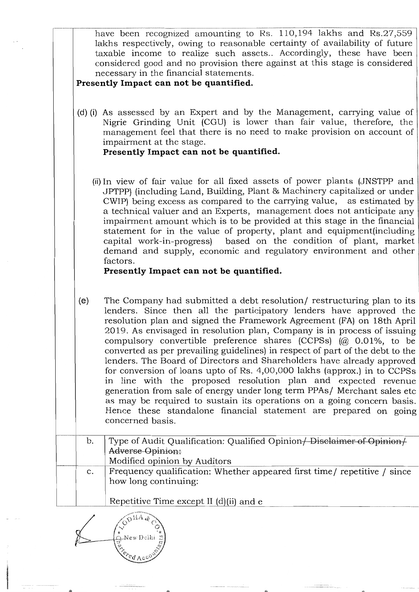|                | have been recognized amounting to Rs. 110,194 lakhs and Rs.27,559<br>lakhs respectively, owing to reasonable certainty of availability of future<br>taxable income to realize such assets Accordingly, these have been<br>considered good and no provision there against at this stage is considered<br>necessary in the financial statements.<br>Presently Impact can not be quantified.                                                                                                                                                                                                                                                                                                                                                                                                                                                                                                                                   |
|----------------|-----------------------------------------------------------------------------------------------------------------------------------------------------------------------------------------------------------------------------------------------------------------------------------------------------------------------------------------------------------------------------------------------------------------------------------------------------------------------------------------------------------------------------------------------------------------------------------------------------------------------------------------------------------------------------------------------------------------------------------------------------------------------------------------------------------------------------------------------------------------------------------------------------------------------------|
|                | (d) (i) As assessed by an Expert and by the Management, carrying value of<br>Nigrie Grinding Unit (CGU) is lower than fair value, therefore, the<br>management feel that there is no need to make provision on account of<br>impairment at the stage.<br>Presently Impact can not be quantified.                                                                                                                                                                                                                                                                                                                                                                                                                                                                                                                                                                                                                            |
|                | (ii) In view of fair value for all fixed assets of power plants (JNSTPP and<br>JPTPP) (including Land, Building, Plant & Machinery capitalized or under<br>CWIP) being excess as compared to the carrying value, as estimated by<br>a technical valuer and an Experts, management does not anticipate any<br>impairment amount which is to be provided at this stage in the financial<br>statement for in the value of property, plant and equipment (including<br>capital work-in-progress) based on the condition of plant, market<br>demand and supply, economic and regulatory environment and other<br>factors.                                                                                                                                                                                                                                                                                                        |
|                | Presently Impact can not be quantified.                                                                                                                                                                                                                                                                                                                                                                                                                                                                                                                                                                                                                                                                                                                                                                                                                                                                                     |
| (e)            | The Company had submitted a debt resolution/ restructuring plan to its<br>lenders. Since then all the participatory lenders have approved the<br>resolution plan and signed the Framework Agreement (FA) on 18th April<br>2019. As envisaged in resolution plan, Company is in process of issuing<br>compulsory convertible preference shares (CCPSs) (@ 0.01%, to be<br>converted as per prevailing guidelines) in respect of part of the debt to the<br>lenders. The Board of Directors and Shareholders have already approved<br>for conversion of loans upto of Rs. 4,00,000 lakhs (approx.) in to CCPSs<br>in line with the proposed resolution plan and expected revenue<br>generation from sale of energy under long term PPAs/ Merchant sales etc<br>as may be required to sustain its operations on a going concern basis.<br>Hence these standalone financial statement are prepared on going<br>concerned basis. |
| b.             | Type of Audit Qualification: Qualified Opinion + Disclaimer of Opinion +<br>Adverse Opinion:<br>Modified opinion by Auditors                                                                                                                                                                                                                                                                                                                                                                                                                                                                                                                                                                                                                                                                                                                                                                                                |
| $\mathbf{C}$ . | Frequency qualification: Whether appeared first time/ repetitive / since<br>how long continuing:                                                                                                                                                                                                                                                                                                                                                                                                                                                                                                                                                                                                                                                                                                                                                                                                                            |
|                | Repetitive Time except II (d)(ii) and e                                                                                                                                                                                                                                                                                                                                                                                                                                                                                                                                                                                                                                                                                                                                                                                                                                                                                     |
|                | $\sim$ HA                                                                                                                                                                                                                                                                                                                                                                                                                                                                                                                                                                                                                                                                                                                                                                                                                                                                                                                   |

CODHA & COLLEGE ON BELLEVILLE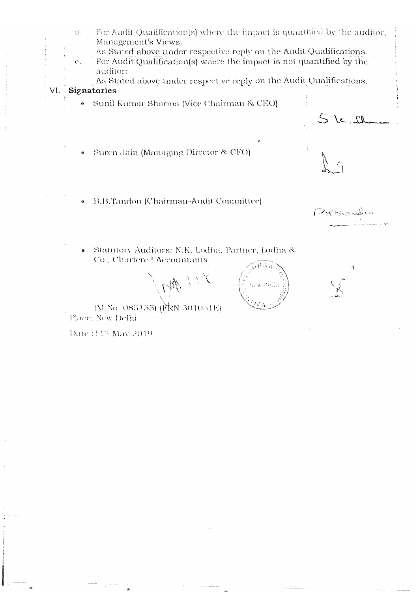$d.$  For Audit Qualification(s) where the impact is quantified by the auditor, Management's Views: , As Stated above under respective reply on the Audit Qualifications. e, For Audit Qualification(s) \vhere the impact is not quantified by the andiditor:<br>auditor: auditor:<br>As Stated above under respective reply on the Audit Qualifications. VI. Signatories  $\bullet$  Sunil Kumar Sharma (Vice Chairman & CEO)  $16 - 11$ . Suren Jain (Managing Director & CFO) . B.B.Tandon (Chairman-Audit Committee). Garande  $G(x,y)$  and  $\Delta x$  and  $\Delta y$  and  $\Delta z$  are  $\Delta y$ . (aunoiy Audhors) iy.iy. loqn  $\sqrt{13} + \frac{1}{6}$  $\mathcal{N} \subset \mathcal{N}$ w Della \,<br>\,<br>\,

 $(\rm M. No.~085155)~(\rm \widetilde{P}KN~3010.41E)$ Place: New Delhi

Date : 14th May 2019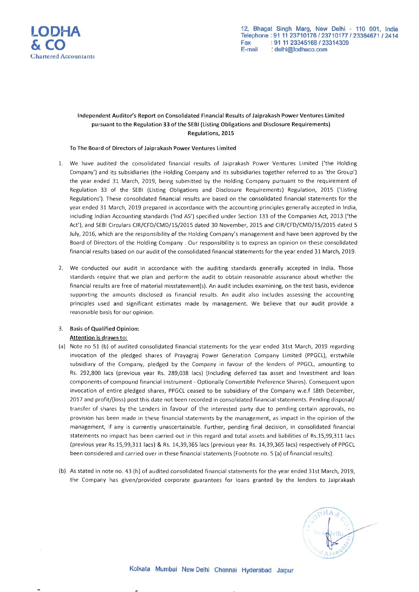

#### Independent Auditor's Report on Consolidated Financial Results of Jaiprakash Power Ventures Limited pursuant to the Regulation 33 of the SEBI (Listing Obligations and Disclosure Requirements) Regulations, 2015

#### To The Board of Directors of Jaiprakash Power Ventures Limited

- 1. We have audited the consolidated financial results of Jaiprakash Power Ventures Limited ('the Holding Company') and its subsidiaries (the Holding Company and its subsidiaries together referred to as 'the Group') the year ended 31 March, 2019, being submitted by the Holding Company pursuant to the requirement of Regulation 33 of the SEBI (Listing Obligations and Disclosure Requirements) Regulation, 2015 ('Listing Regulations'). These consolidated financial results are based on the consolidated financial statements for the year ended 31 March, 2019 prepared in accordance with the accounting principles generally accepted in India, including Indian Accounting standards ('Ind AS') specified under Section 133 of the Companies Act, 2013 ('the Act'), and SEBI Circulars CIR/CFD/CMD/15/2015 dated 30 November, 2015 and CIR/CFD/CMD/15/2015 dated 5 July, 2016, which are the responsibility of the Holding Company's management and have been approved by the Board of Directors of the Holding Company. Our responsibility is to express an opinion on these consolidated financial results based on our audit of the consolidated financial statements for the year ended 31 March, 2019.
- 2. We conducted our audit in accordance with the auditing standards generally accepted in India. Those standards require that we plan and perform the audit to obtain reasonable assurance about whether the financial results are free of material misstatement(s). An audit includes examining, on the test basis, evidence supporting the amounts disclosed as financial results. An audit also includes assessing the accounting principles used and significant estimates made by management. We believe that our audit provide a reasonable basis for our opinion.

#### 3. Basis of Qualified Opinion:

#### Attention is drawn to:

- (a) Note no 51 (b) of audited consolidated financial statements for the year ended 31st March, 2019 regarding invocation of the pledged shares of Prayagraj Power Generation Company Limited (PPGCL), erstwhile subsidiary of the Company, pledged by the Company in favour of the lenders of PPGCL, amounting to Rs. 292,800 lacs (previous year Rs. 289,038 lacs) (Including deferred tax asset and Investment and loan components of compound financial instrument - Optionally Convertible Preference Shares). Consequent upon invocation of entire pledged shares, PPGCL ceased to be subsidiary of the Company w.e.f 18th December, 2017 and profit/(loss) post this date not been recorded in consolidated financial statements. Pending disposal/ transfer of shares by the Lenders in favour of the interested party due to pending certain approvals, no provision has been made in these financial statements by the management, as impact in the opinion of the management, if any is currently unascertainable. Further, pending final decision, in consolidated financial statements no impact has been carried out in this regard and total assets and liabilities of Rs.15,99,311 lacs (previous year Rs.15,99,311 lacs) & Rs. 14,39,365 lacs (previous year Rs. 14,39,365 lacs) respectively of PPGCL been considered and carried over in these financial statements (Footnote no. 5 (a) of financial results).
- (b) As stated in note no. 43 (h) of audited consolidated financial statements for the year ended 31st March, 2019, the Company has given/provided corporate guarantees for loans granted by the lenders to Jaiprakash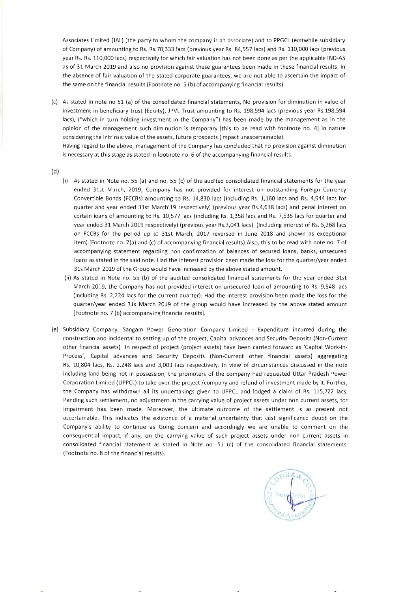Associates Limited (JAL) (the party to whom the company is an associate) and to PPGCL (erstwhile subsidiary of Company) of amounting to Rs. Rs.70,333 lacs (previous year Rs. 84,557 lacs) and Rs. 110,000 lacs (previous year Rs. Rs. 110,000 lacs) respectively for which fair valuation has not been done as per the applicable IND-AS as of 31 March 2019 and also no provision against these guarantees been made in these financial results. In the absence of fair valuation of the stated corporate guarantees, we are not able to ascertain the impact of the same on the financial results (Footnote no. 5 (b) of accompanying financial results)

(c) As stated in note no 51 (a) of the consolidated financial statements, No provision for diminution in value of investment in beneficiary trust (Equity), JPVL Trust amounting to Rs. 198,594 lacs (previous year Rs.198,594 lacs), ("which in turn holding investment in the Company") has been made by the management as in the opinion of the management such diminution is temporary [this to be read with footnote no. 4] in nature considering the intrinsic value of the assets, future prospects (impact unascertainable).

Having regard to the above, management of the Company has concluded that no provision against diminution is necessary at this stage as stated in footnote no. 6 of the accompanying financial results.

(d)

- (i) As stated in Note no. 55 (a) and no. 55 (c) of the audited consolidated financial statements for the year ended 31st March, 2019, Company has not provided for interest on outstanding Foreign Currency Convertible Bonds (FCCBs) amounting to Rs . 14,830 lacs (including Rs. 1,160 lacs and Rs. 4,944 lacs for quarter and year ended 31st March'19 respectively) (previous year Rs.4,618 lacs) and penal interest on certain loans of amounting to Rs. 10,577 lacs (including Rs. 1,358 lacs and Rs. 7,536 lacs for quarter and year ended 31 March 2019 respectively) (previous year Rs.3,041 lacs). (Including interest of Rs. 5,268 lacs on FCCBs for the period up to 31st March, 2017 reversed in June 2018 and shown as exceptional item).[Footnote no. 7(a) and (c) of accompanying financial results) Also, this to be read with note no. 7 of accompanying statement regarding non confirmation of balances of secured loans, banks, unsecured loans as stated in the said note. Had the interest provision been made the loss for the quarter/year ended 31s March 2019 of the Group would have increased by the above stated amount.
- (ii) As stated in Note no. 55 (b) of the audited consolidated financial statements for the year ended 31st March 2019, the Company has not provided interest on unsecured loan of amounting to Rs. 9,548 lacs (including Rs . 2,224 lacs for the current quarter). Had the interest provision been made the loss for the quarter/year ended 31s March 2019 of the group would have increased by the above stated amount [Footnote no. 7 (b) accompanying financial results].
- (e) Subsidiary Company, Sangam Power Generation Company Limited Expenditure incurred during the construction and incidental to setting up of the project, Capital advances and Security Deposits (Non-Current other financial assets) in respect of project (project assets) have been carried forward as 'Capital Work-in-Process', Capital advances and Security Deposits (Non-Current other financial assets) aggregating Rs. 10,804 lacs, Rs. 2,248 lacs and 3,003 lacs respectively. In view of circumstances discussed in the note including land being not in possession, the promoters of the company had requested Uttar Pradesh Power Corporation Limited (UPPCL) to take over the project /company and refund of investment made by it. Further, the Company has withdrawn all its undertakings given to UPPCL and lodged a claim of Rs. 115,722 lacs. Pending such settlement, no adjustment in the carrying value of project assets under non current assets, for impairment has been made. Moreover, the ultimate outcome of the settlement is as present not ascertainable. This indicates the existence of a material uncertainty that cast significance doubt on the Company's ability to continue as Going concern and accordingly we are unable to comment on the consequential impact, if any, on the carrying value of such project assets under non current assets in consolidated financial statement as stated in Note no. 51 (c) of the consolidated financial statements. (Footnote no. 8 of the financial results).

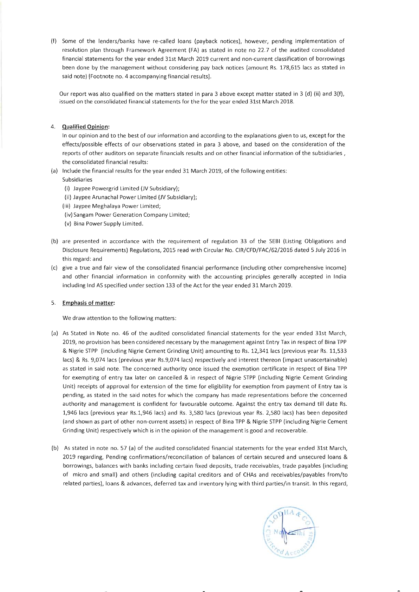(f) Some of the lenders/banks have re-called loans (payback notices), however, pending implementation of resolution plan through Framework Agreement (FA) as stated in note no 22.7 of the audited consolidated financial statements for the year ended 31st March 2019 current and non-current classification of borrowings been done by the management without considering pay back notices (amount Rs. 178,615 lacs as stated in said note) [Footnote no. 4 accompanying financial results].

Our report was also qualified on the matters stated in para 3 above except matter stated in 3 (d) (ii) and 3(f), issued on the consolidated financial statements for the for the year ended 31st March 2018.

#### 4. **Qualified Opinion:**

In our opinion and to the best of our information and according to the explanations given to us, except for the effects/ possible effects of our observations stated in para 3 above, and based on the consideration of the reports of other auditors on separate financials results and on other financial information of the subsidiaries, the consolidated financial results:

- (a) Include the financial results for the year ended 31 March 2019, of the following entities:
- Subsidiaries
	- (i) Jaypee Powergrid Limited (JV Subsidiary);
	- (ii) Jaypee Arunachal Power Limited (JV Subsidiary);
	- (iii) Jaypee Meghalaya Power Limited;
	- (iv) Sangam Power Generation Company Limited;
	- (v) Bina Power Supply Limited .
- (b) are presented in accordance with the requirement of regulation 33 of the SEBI (Listing Obligations and Disclosure Requirements) Regulations, 2015 read with Circular No. CIR/CFD/FAC/62/2016 dated 5 July 2016 in this regard: and
- (c) give a true and fair view of the consolidated financial performance (including other comprehensive income) and other financial information in conformity with the accounting principles generally accepted in India including Ind AS specified under section 133 of the Act for the year ended 31 March 2019.

#### 5. Emphasis **of matter:**

We draw attention to the following matters:

- (a) As Stated in Note no. 46 of the audited consolidated financial statements for the year ended 31st March, 2019, no provision has been considered necessary by the management against Entry Tax in respect of Bina TPP & Nigrie STPP (including Nigrie Cement Grinding Unit) amounting to Rs. 12,341 lacs (previous year Rs. 11,533 lacs) & Rs . 9,074 lacs (previous year Rs.9,074 lacs) respectively and interest thereon (impact unascertainable) as stated in said note. The concerned authority once issued the exemption certificate in respect of Bina TPP for exempting of entry tax later on cancelled & in respect of Nigrie STPP (including Nigrie Cement Grinding Unit) receipts of approval for extension of the time for eligibility for exemption from payment of Entry tax is pending, as stated in the said notes for which the company has made representations before the concerned authority and management is confident for favourable outcome. Against the entry tax demand till date Rs. 1,946 lacs (previous year Rs.1,946 lacs) and Rs. 3,580 lacs (previous year Rs. 2,580 lacs) has been deposited (and shown as part of other non-current assets) in respect of Bina TPP & Nigrie STPP (including Nigrie Cement Grinding Unit) respectively which is in the opinion of the management is good and recoverable.
- (b) As stated in note no. 57 (a) of the audited consolidated financial statements for the year ended 31st March, 2019 regarding, Pending confirmations/reconciliation of balances of certain secured and unsecured loans & borrowings, balances with banks including certain fixed deposits, trade receivables, trade payables (including of micro and small) and others (including capital creditors and of CHAs and receivables/payables from/to related parties), loans & advances, deferred tax and inventory lying with third parties/in transit. In this regard,

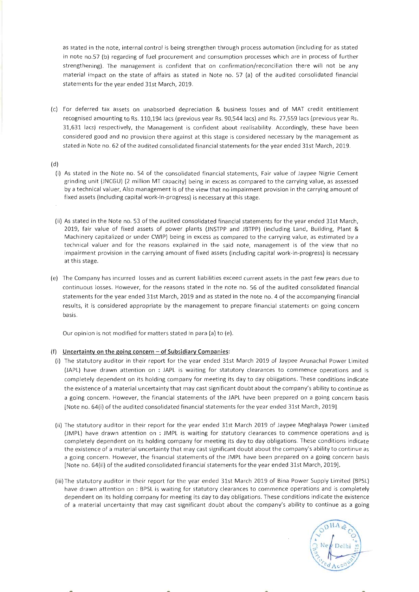as stated in the note, internal control is being strengthen through process automation (including for as stated in note no.57 (b) regarding of fuel procurement and consumption processes which are in process of further strengthening). The management is confident that on confirmation/reconciliation there will not be any material impact on the state of affairs as stated in Note no. 57 (a) of the audited consolidated financial statements for the year ended 31st March, 2019.

(c) For deferred tax assets on unabsorbed depreciation & business losses and of MAT credit entitlement recognised amounting to Rs. 110,194 lacs (previous year Rs. 90,544 lacs) and Rs. 27,559 lacs (previous year Rs. 31,631 lacs) respectively, the Management is confident about realisability. Accordingly, these have been considered good and no provision there against at this stage is considered necessary by the management as stated in Note no. 62 of the audited consolidated financial statements for the year ended 31st March, 2019.

#### (d)

- (i) As stated in the Note no. 54 of the consolidated financial statements, Fair value of Jaypee Nigrie Cement grinding unit (JNCGU) (2 million MT capacity) being in excess as compared to the carrying value, as assessed by a technical valuer, Also management is of the view that no impairment provision in the carrying amount of fixed assets (including capital work-in-progress) is necessary at this stage.
- (ii) As stated in the Note no. 53 of the audited consolidated financial statements for the year ended 31st March, 2019, fair value of fixed assets of power plants (JNSTPP and JBTPP) (including Land, Building, Plant & Machinery capitalized or under CWIP) being in excess as compared to the carrying value, as estimated by a technical valuer and for the reasons explained in the said note, management is of the view that no impairment provision in the carrying amount of fixed assets (including capital work-in-progress) is necessary at this stage.
- (e) The Company has incurred losses and as current liabilities exceed current assets in the past few years due to continuous losses. However, for the reasons stated in the note no. 56 of the audited consolidated financial statements for the year ended 31st March, 2019 and as stated in the note no. 4 of the accompanying financial results, it is considered appropriate by the management to prepare financial statements on going concern basis.

Our opinion is not modified for matters stated in para (a) to (e).

#### (f) **Uncertainty on the going concern - of Subsidiary Companies:**

- (i) The statutory auditor in their report for the year ended 31st March 2019 of Jaypee Arunachal Power Limited (JAPL) have drawn attention on : JAPL is waiting for statutory clearances to commence operations and is completely dependent on its holding company for meeting its day to day obligations. These conditions indicate the existence of a material uncertainty that may cast significant doubt about the company's ability to continue as a going concern. However, the financial statements of the JAPL have been prepared on a going concern basis [Note no. 64(i) of the audited consolidated financial statements for the year ended 31st March, 2019].
- (ii) The statutory auditor in their report for the year ended 31st March 2019 of Jaypee Meghalaya Power Limited (JMPL) have drawn attention on : JMPL is waiting for statutory clearances to commence operations and is completely dependent on its holding company for meeting its day to day obligations. These conditions indicate the existence of a material uncertainty that may cast significant doubt about the company's ability to continue as a going concern. However, the financial statements of the JMPL have been prepared on a going concern basis [Note no. 64(ii) of the audited consolidated financial statements for the year ended 31st March, 2019].
- (iii) The statutory auditor in their report for the year ended 31st March 2019 of Bina Power Supply Limited (BPSL) have drawn attention on : BPSL is waiting for statutory clearances to commence operations and is completely dependent on its holding company for meeting its day to day obligations. These conditions indicate the existence of a material uncertainty that may cast significant doubt about the company's ability to continue as a going

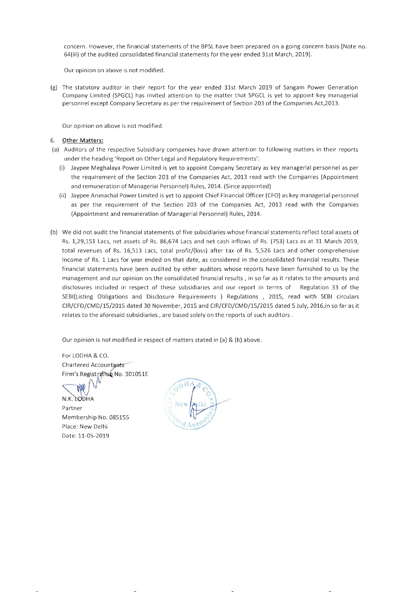concern . However, the financial statements of the BPSL have been prepared on a going concern basis [Note no. 64(iii) of the audited consolidated financial statements for the year ended 31st March, 2019].

Our opinion on above is not modified.

(g) The statutory auditor in their report for the year ended 31st March 2019 of Sangam Power Generation Company Limited (SPGCL) has invited attention to the matter that SPGCL is yet to appoint key managerial personnel except Company Secretary as per the requirement of Section 203 of the Companies Act,2013 .

Our opinion on above is not modified.

#### 6. Other **Matters:**

- (a) Auditors of the respective Subsidiary companies have drawn attention to following matters in their reports under the heading 'Report on Other Legal and Regulatory Requirements':
	- (i) Jaypee Meghalaya Power Limited is yet to appoint Company Secretary as key managerial personnel as per the requirement of the Section 203 of the Companies Act, 2013 read with the Companies (Appointment and remuneration of Managerial Personnel) Rules, 2014. (Since appointed)
	- (ii) Jaypee Arunachal Power Limited is yet to appoint Chief Financial Officer (CFO) as key managerial personnel as per the requirement of the Section 203 of the Companies Act, 2013 read with the Companies (Appointment and remuneration of Managerial Personnel) Rules, 2014.
- (b) We did not audit the financial statements of five subsidiaries whose financial statements reflect total assets of Rs. 1,29,151 Lacs, net assets of Rs. 86,674 Lacs and net cash inflows of Rs. (753) Lacs as at 31 March 2019, total revenues of Rs. 16,513 Lacs, total profit/(Ioss) after tax of Rs. 5,526 Lacs and other comprehensive Income of Rs. 1 Lacs for year ended on that date, as considered in the consolidated financial results. These financial statements have been audited by other auditors whose reports have been furnished to us by the management and our opinion on the consolidated financial results, in so far as it relates to the amounts and disclosures included in respect of these subsidiaries and our report in terms of Regulation 33 of the SEBI(Listing Obligations and Disclosure Requirements ) Regulations , 2015, read with SEBI circulars CIR/CFD/CMD/15/2015 dated 30 November, 2015 and CIR/CFD/CMD/15/2015 dated 5 July, 2016,in so far as it relates to the aforesaid subsidiaries, are based solely on the reports of such auditors.

Our opinion is not modified in respect of matters stated in (a) & (b) above.

For LODHA & CO. Chartered Accountants chartered Accountants<br>Firm's Registration No. 301051E

Firm's Registration No. 3010<br>N.K. CODHA<br>Partner Membership No. 085155 Place: New Delhi Date: 11-05-2019

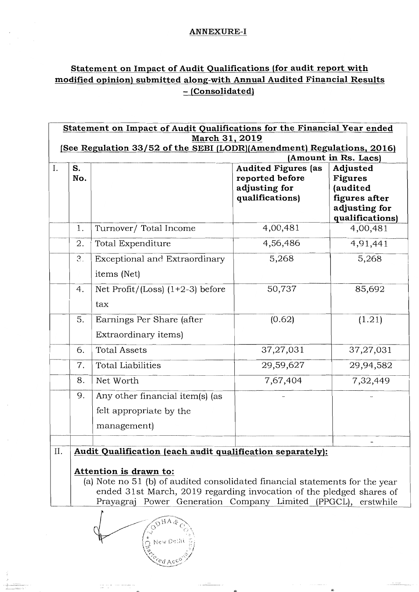# ANNEXURE-I

# Statement on Impact of Audit Qualifications (for audit report with modified opinion) submitted along-with Annual Audited Financial Results - (Consolidated)

|    | Statement on Impact of Audit Qualifications for the Financial Year ended                                                                                                                                                                        |                                                                           |                                                                                   |                                                                                             |  |  |  |
|----|-------------------------------------------------------------------------------------------------------------------------------------------------------------------------------------------------------------------------------------------------|---------------------------------------------------------------------------|-----------------------------------------------------------------------------------|---------------------------------------------------------------------------------------------|--|--|--|
|    | March 31, 2019                                                                                                                                                                                                                                  |                                                                           |                                                                                   |                                                                                             |  |  |  |
|    | [See Regulation 33/52 of the SEBI (LODR)(Amendment) Regulations, 2016)<br>(Amount in Rs. Lacs)                                                                                                                                                  |                                                                           |                                                                                   |                                                                                             |  |  |  |
| I. | S.<br>No.                                                                                                                                                                                                                                       |                                                                           | <b>Audited Figures (as</b><br>reported before<br>adjusting for<br>qualifications) | Adjusted<br><b>Figures</b><br>(audited<br>figures after<br>adjusting for<br>qualifications) |  |  |  |
|    | 1.                                                                                                                                                                                                                                              | Turnover/ Total Income                                                    | 4,00,481                                                                          | 4,00,481                                                                                    |  |  |  |
|    | 2.                                                                                                                                                                                                                                              | Total Expenditure                                                         | 4,56,486                                                                          | 4,91,441                                                                                    |  |  |  |
|    | 3.                                                                                                                                                                                                                                              | Exceptional and Extraordinary<br>items (Net)                              | 5,268                                                                             | 5,268                                                                                       |  |  |  |
|    | 4.                                                                                                                                                                                                                                              | Net $Profit / (Loss) (1+2-3) before$<br>tax                               | 50,737                                                                            | 85,692                                                                                      |  |  |  |
|    | 5.                                                                                                                                                                                                                                              | Earnings Per Share (after<br>Extraordinary items)                         | (0.62)                                                                            | (1.21)                                                                                      |  |  |  |
|    | 6.                                                                                                                                                                                                                                              | <b>Total Assets</b>                                                       | 37,27,031                                                                         | 37,27,031                                                                                   |  |  |  |
|    | 7.                                                                                                                                                                                                                                              | <b>Total Liabilities</b>                                                  | 29,59,627                                                                         | 29,94,582                                                                                   |  |  |  |
|    | 8.                                                                                                                                                                                                                                              | Net Worth                                                                 | 7,67,404                                                                          | 7,32,449                                                                                    |  |  |  |
|    | 9.                                                                                                                                                                                                                                              | Any other financial item(s) (as<br>felt appropriate by the<br>management) |                                                                                   |                                                                                             |  |  |  |
|    |                                                                                                                                                                                                                                                 |                                                                           |                                                                                   |                                                                                             |  |  |  |
| Π. | Audit Qualification (each audit qualification separately):                                                                                                                                                                                      |                                                                           |                                                                                   |                                                                                             |  |  |  |
|    | Attention is drawn to:<br>(a) Note no 51 (b) of audited consolidated financial statements for the year<br>ended 31st March, 2019 regarding invocation of the pledged shares of<br>Prayagraj Power Generation Company Limited (PPGCL), erstwhile |                                                                           |                                                                                   |                                                                                             |  |  |  |

BODHA & New Delhi a α cΩ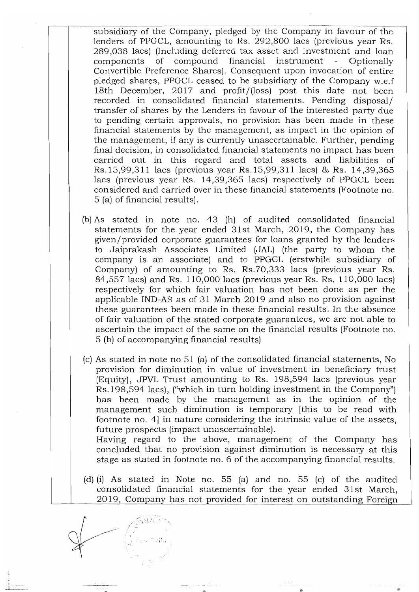subsidiary of the Company, pledged by the Company in favour of the lenders of PPGCL, amounting to Rs. 292,800 lacs (previous year Rs. 289,038 lacs) (Including deferred tax asset and Investmcnt and loan components of compound financial instrument - Optionally Convertible Preference Shares). Consequent upon invocation of entire pledged shares, PPGCL ceased to be subsidiary of the Company w.e.f 18th December, 2017 and profit/ (loss) post this date not been recorded in consolidated financial statements. Pending disposal/ transfer of shares by the Lenders in favour of the interested party due to pending certain approvals, no provision has been made in these financial statements by the management, as impact in the opinion of the management, if any is currently unascertainable. Further, pending final decision, in consolidated financial statements no impact has been carried out in this regard and total assets and liabilities of Rs.15,99,311 lacs (previous year Rs.15,99,311 lacs) & Rs. 14,39,365 lacs (previous year Rs. 14,39,365 lacs) respectively of PPGCL been considered and carried over in these financial statements (Footnote no. 5 (a) of financial results).

- (b) As stated in note no. 43 (h) of audited consolidated financial statements for the year ended 31st March, 2019, the Company has given/provided corporate guarantees for loans granted by the lenders to Jaiprakash Associates Limited (JAL) (the party to whom the company is an associate) and to PPGCL (erstwhile subsidiary of Company) of amounting to Rs. Rs.70,333 lacs (previous year Rs. 84,557 lacs) and Rs. 110,000 lacs (previous year Rs. Rs. 110,000 lacs) respectively for which fair valuation has not been done as per the applicable IND-AS as of 31 March 2019 and also no provision against these guarantees been made in these financial results. In the absence of fair valuation of the stated corporate guarantees, we are not able to ascertain the impact of the same on the financial results (Footnote no. 5 (b) of accompanying financial results)
- (c) As stated in note no 51 (a) of the consolidated financial statements, No provision for diminution in value of investment in beneficiary trust (Equity), JPVL Trust amounting to Rs. 198,594 lacs (previous year Rs.198,594 lacs), ("which in turn holding investment in the Company") has been made by the management as in the opinion of the management such diminution is temporary [this to be read with footnote no. 4] in nature considering the intrinsic value of the assets, future prospects (impact unascertainable).

Having regard to the above, management of the Company has concluded that no provision against diminution is necessary at this stage as stated in footnote no. 6 of the accompanying financial results.

(d) (i) As stated in Note no. 55 (a) and no. 55 (c) of the audited consolidated financial statements for the year ended 31st March, 2019, Company has not provided for interest on outstanding Foreign

 $;$   $;$   $t$   $\sim$   $t$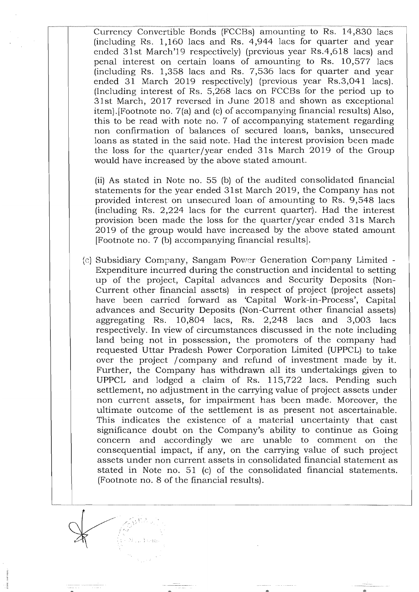-------\_.\_ .. \_-------\_ .. \_-\_.\_----\_.\_---\_.\_-------\_. \_\_ .. -----\_ ... \_-\_ .. \_-------\_.\_-\_. Currency Convertible Bonds (FCCBs) amounting to Rs. 14,830 lacs (including Rs.  $1,160$  lacs and Rs.  $4,944$  lacs for quarter and year ended 31st March'19 respectively) (previous year  $Rs.4,618$  lacs) and penal interest on certain loans of amounting to Rs. 10,577 lacs (including Rs. 1,358 lacs and Rs. 7,536 lacs for quarter and year ended 31 March 2019 respectively) (previous year Rs.3,041 lacs). (Including interest of Rs. 5,268 lacs on FCCBs for the period up to 31st March, 2017 reversed in June 2018 and shown as exceptional item).[Footnote no. 7(a) and (c) of accompanying financial results) Also, this to be read with note no. 7 of accompanying statement regarding non confirmation of balances of secured loans, banks, unsecured loans as stated in the said note. Had the interest provision been made the loss for the quarter/year ended 31s March 2019 of the Group would have increased by the above stated amount.

(ii) As stated in Note no. 55 (b) of the audited consolidated financial statements for the year ended 31st March 2019, the Company has not provided interest on unsecured loan of amounting to Rs. 9,548 lacs (including Rs. 2,224 lacs for the current quarter). Had the interest provision been made the loss for the quarter/year ended 31s March 2019 of the group would have increased by the above stated amount [Footnote no. 7 (b) accompanying financial results].

(c) Subsidiary Company, Sangam Power Generation Company Limited - Expenditure incurred during the construction and incidental to setting up of the project, Capital advances and Security Deposits (Non-Current other financial assets) in respect of project (project assets) have been carried forward as 'Capital Work-in-Process', Capital advances and Security Deposits (Non-Current other financial assets) aggregating Rs. 10,804 lacs, Rs. 2,248 lacs and 3,003 lacs respectively. In view of circumstances discussed in the note including land being not in possession, the promoters of the company had requested Uttar Pradesh Power Corporation Limited (UPPCL) to take over the project / company and refund of investment made by it. Further, the Company has withdrawn all its undertakings given to UPPCL and lodged a claim of Rs. 115,722 lacs. Pending such settlement, no adjustment in the carrying value of project assets under non current assets, for impairment has been made. Moreover, the ultimate outcome of the settlement is as present not ascertainable. This indicates the existence of a material uncertainty that cast significance doubt on the Company's ability to continue as Going concern and accordingly we are unable to comment on the consequential impact, if any, on the carrying value of such project assets under non current assets in consolidated financial statement as stated in Note no. 51 (c) of the consolidated financial statements. (Footnote no. 8 of the financial results).

 $\sqrt{\frac{1}{\omega}}$ 

 $\rightarrow$   $\rightarrow$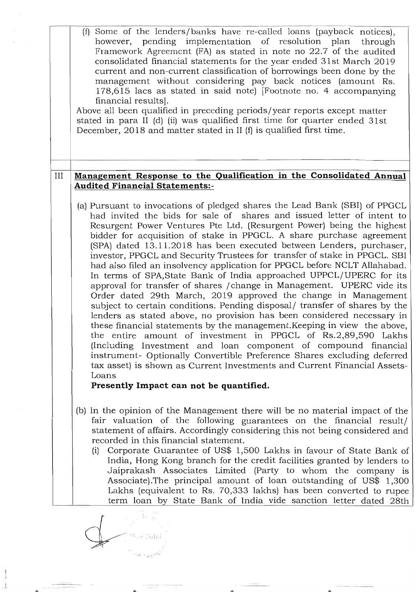|     | (f) Some of the lenders/banks have re-called loans (payback notices),<br>however, pending implementation of resolution plan<br>through<br>Framework Agreement (FA) as stated in note no 22.7 of the audited<br>consolidated financial statements for the year ended 31st March 2019<br>current and non-current classification of borrowings been done by the<br>management without considering pay back notices (amount Rs.<br>178,615 lacs as stated in said note) [Footnote no. 4 accompanying<br>financial results.<br>Above all been qualified in preceding periods/year reports except matter<br>stated in para II (d) (ii) was qualified first time for quarter ended 31st<br>December, $2018$ and matter stated in II (f) is qualified first time.                                                                                                                                                                                                                                                                                                                                                                                                                                                                                                                                                                                    |
|-----|----------------------------------------------------------------------------------------------------------------------------------------------------------------------------------------------------------------------------------------------------------------------------------------------------------------------------------------------------------------------------------------------------------------------------------------------------------------------------------------------------------------------------------------------------------------------------------------------------------------------------------------------------------------------------------------------------------------------------------------------------------------------------------------------------------------------------------------------------------------------------------------------------------------------------------------------------------------------------------------------------------------------------------------------------------------------------------------------------------------------------------------------------------------------------------------------------------------------------------------------------------------------------------------------------------------------------------------------|
| III | Management Response to the Qualification in the Consolidated Annual                                                                                                                                                                                                                                                                                                                                                                                                                                                                                                                                                                                                                                                                                                                                                                                                                                                                                                                                                                                                                                                                                                                                                                                                                                                                          |
|     | <b>Audited Financial Statements:-</b>                                                                                                                                                                                                                                                                                                                                                                                                                                                                                                                                                                                                                                                                                                                                                                                                                                                                                                                                                                                                                                                                                                                                                                                                                                                                                                        |
|     | (a) Pursuant to invocations of pledged shares the Lead Bank (SBI) of PPGCL<br>had invited the bids for sale of shares and issued letter of intent to<br>Resurgent Power Ventures Pte Ltd. (Resurgent Power) being the highest<br>bidder for acquisition of stake in PPGCL. A share purchase agreement<br>(SPA) dated 13.11.2018 has been executed between Lenders, purchaser,<br>investor, PPGCL and Security Trustees for transfer of stake in PPGCL. SBI<br>had also filed an insolvency application for PPGCL before NCLT Allahabad.<br>In terms of SPA, State Bank of India approached UPPCL/UPERC for its<br>approval for transfer of shares / change in Management. UPERC vide its<br>Order dated 29th March, 2019 approved the change in Management<br>subject to certain conditions. Pending disposal/ transfer of shares by the<br>lenders as stated above, no provision has been considered necessary in<br>these financial statements by the management. Keeping in view the above,<br>the entire amount of investment in PPGCL of Rs.2,89,590 Lakhs<br>(Including Investment and loan component of compound financial<br>instrument- Optionally Convertible Preference Shares excluding deferred<br>tax asset) is shown as Current Investments and Current Financial Assets-<br>Loans<br>Presently Impact can not be quantified. |
|     |                                                                                                                                                                                                                                                                                                                                                                                                                                                                                                                                                                                                                                                                                                                                                                                                                                                                                                                                                                                                                                                                                                                                                                                                                                                                                                                                              |
|     | (b) In the opinion of the Management there will be no material impact of the<br>fair valuation of the following guarantees on the financial result/<br>statement of affairs. Accordingly considering this not being considered and<br>recorded in this financial statement.<br>Corporate Guarantee of US\$ 1,500 Lakhs in favour of State Bank of<br>(i)<br>India, Hong Kong branch for the credit facilities granted by lenders to<br>Jaiprakash Associates Limited (Party to whom the company is<br>Associate). The principal amount of loan outstanding of US\$ 1,300<br>Lakhs (equivalent to Rs. 70,333 lakhs) has been converted to rupee<br>term loan by State Bank of India vide sanction letter dated 28th                                                                                                                                                                                                                                                                                                                                                                                                                                                                                                                                                                                                                           |
|     |                                                                                                                                                                                                                                                                                                                                                                                                                                                                                                                                                                                                                                                                                                                                                                                                                                                                                                                                                                                                                                                                                                                                                                                                                                                                                                                                              |

 $\label{eq:1} \begin{array}{ll} \text{C} & \text{C} & \text{C} & \text{C} & \text{C} \\ \text{C} & \text{C} & \text{C} & \text{C} & \text{C} & \text{C} \\ \text{C} & \text{C} & \text{C} & \text{C} & \text{C} & \text{C} \\ \text{C} & \text{C} & \text{C} & \text{C} & \text{C} & \text{C} \\ \text{C} & \text{C} & \text{C} & \text{C} & \text{C} & \text{C} \\ \text{C} & \text{C} & \text{C} & \text{C} & \text{C} & \text$ 

 $100<sub>n</sub>$ 

i<br>Sanu avv

 $\begin{array}{lll} \bullet & \mbox{constant} & \mbox{time} \\ \bullet & \mbox{constant} & \mbox{time} \\ \end{array}$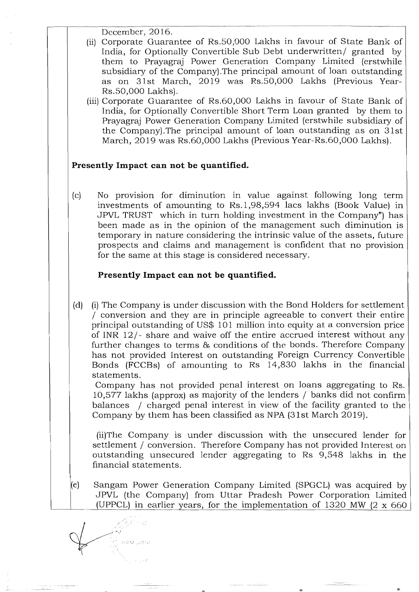December, 2016.

- (ii) Corporate Guarantee of Rs.50,000 Lakhs in favour of State Bank of India, for Optionally Convertible Sub Debt underwritten/ granted by them to Prayagraj Power Generation Company Limited (erstwhile subsidiary of the Company).The principal amount of loan outstanding as on 31st March, 2019 was Rs.50,000 Lakhs (Previous Year-Rs.50,000 Lakhs).
- (iii) Corporate Guarantee of Rs.60,000 Lakhs in favour of State Bank of India, for Optionally Convertible Short Term Loan granted by them to Prayagraj Power Generation Company Limited (erstwhile subsidiary of the Company).The principal amount of loan outstanding as on 31st March, 2019 was Rs.60,000 Lakhs (Previous Year-Rs.60,000 Lakhs).

# **Presently Impact can not be quantified.**

(c) No provision for diminution in value against following long term investments of amounting to Rs.1,98,594 lacs lakhs (Book Value) in JPVL TRUST which in turn holding investment in the Company") has been made as in the opinion of the management such diminution is temporary in nature considering the intrinsic value of the assets, future prospects and claims and management is confident that no provision for the same at this stage is considered necessary.

# **Presently Impact can not be quantified.**

(d) (i) The Company is under discussion with the Bond Holders for settlement / conversion and they are in principle agreeable to convert their entire principal outstanding of US\$ 101 million into equity at a conversion price of INR 12/- share and waive off the entire accrued interest without any further changes to terms & conditions of the bonds. Therefore Company has not provided Interest on outstanding Foreign Currency Convertible Bonds (FCCBs) of amounting to Rs 14,830 lakhs in the financial statements.

Company has not provided penal interest on loans aggregating to Rs. 10,577 lakhs (approx) as majority of the lenders / banks did not confirm balances / charged penal interest in view of the facility granted to the Company by them has been classified as NPA (31st March 2019).

(ii)The Company is under discussion with the unsecured lender for settlement / conversion. Therefore Company has not provided Interest on outstanding unsecured lender aggregating to Rs 9,548 lakhs in the financial statements.

(e) Sangam Power Generation Company Limited (SPGCL) was acquired by JPVL (the Company) from Uttar Pradesh Power Corporation Limited (UPPCL) in earlier years, for the implementation of 1320 MW  $(2 \times 660)$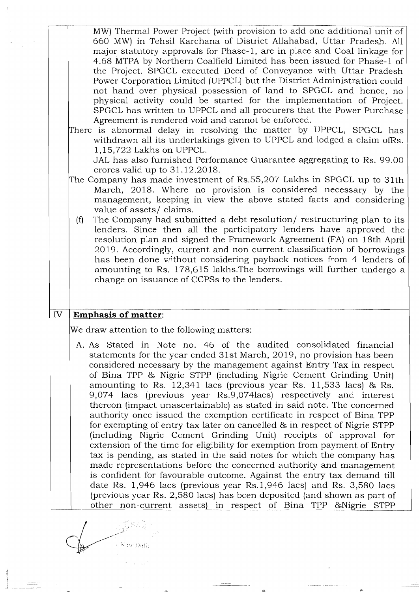|    | MW) Thermal Power Project (with provision to add one additional unit of<br>660 MW) in Tehsil Karchana of District Allahabad, Uttar Pradesh. All<br>major statutory approvals for Phase-1, are in place and Coal linkage for<br>4.68 MTPA by Northern Coalfield Limited has been issued for Phase-1 of<br>the Project. SPGCL executed Deed of Conveyance with Uttar Pradesh<br>Power Corporation Limited (UPPCL) but the District Administration could<br>not hand over physical possession of land to SPGCL and hence, no<br>physical activity could be started for the implementation of Project.<br>SPGCL has written to UPPCL and all procurers that the Power Purchase<br>Agreement is rendered void and cannot be enforced.<br>There is abnormal delay in resolving the matter by UPPCL, SPGCL has<br>withdrawn all its undertakings given to UPPCL and lodged a claim ofRs.<br>1,15,722 Lakhs on UPPCL.<br>JAL has also furnished Performance Guarantee aggregating to Rs. 99.00<br>crores valid up to $31.12.2018$ .<br>The Company has made investment of Rs.55,207 Lakhs in SPGCL up to 31th<br>March, 2018. Where no provision is considered necessary by the<br>management, keeping in view the above stated facts and considering<br>value of assets/ claims.<br>The Company had submitted a debt resolution/ restructuring plan to its<br>(f)<br>lenders. Since then all the participatory lenders have approved the<br>resolution plan and signed the Framework Agreement (FA) on 18th April<br>2019. Accordingly, current and non-current classification of borrowings<br>has been done without considering payback notices from 4 lenders of<br>amounting to Rs. 178,615 lakhs. The borrowings will further undergo a<br>change on issuance of CCPSs to the lenders. |
|----|--------------------------------------------------------------------------------------------------------------------------------------------------------------------------------------------------------------------------------------------------------------------------------------------------------------------------------------------------------------------------------------------------------------------------------------------------------------------------------------------------------------------------------------------------------------------------------------------------------------------------------------------------------------------------------------------------------------------------------------------------------------------------------------------------------------------------------------------------------------------------------------------------------------------------------------------------------------------------------------------------------------------------------------------------------------------------------------------------------------------------------------------------------------------------------------------------------------------------------------------------------------------------------------------------------------------------------------------------------------------------------------------------------------------------------------------------------------------------------------------------------------------------------------------------------------------------------------------------------------------------------------------------------------------------------------------------------------------------------------------------------------------------------------|
| IV | <b>Emphasis of matter:</b>                                                                                                                                                                                                                                                                                                                                                                                                                                                                                                                                                                                                                                                                                                                                                                                                                                                                                                                                                                                                                                                                                                                                                                                                                                                                                                                                                                                                                                                                                                                                                                                                                                                                                                                                                           |
|    |                                                                                                                                                                                                                                                                                                                                                                                                                                                                                                                                                                                                                                                                                                                                                                                                                                                                                                                                                                                                                                                                                                                                                                                                                                                                                                                                                                                                                                                                                                                                                                                                                                                                                                                                                                                      |
|    | We draw attention to the following matters:                                                                                                                                                                                                                                                                                                                                                                                                                                                                                                                                                                                                                                                                                                                                                                                                                                                                                                                                                                                                                                                                                                                                                                                                                                                                                                                                                                                                                                                                                                                                                                                                                                                                                                                                          |
|    | A. As Stated in Note no. 46 of the audited consolidated financial<br>statements for the year ended 31st March, 2019, no provision has been<br>considered necessary by the management against Entry Tax in respect<br>of Bina TPP & Nigrie STPP (including Nigrie Cement Grinding Unit)<br>amounting to Rs. $12,341$ lacs (previous year Rs. $11,533$ lacs) & Rs.<br>9,074 lacs (previous year Rs.9,074 lacs) respectively and interest<br>thereon (impact unascertainable) as stated in said note. The concerned<br>authority once issued the exemption certificate in respect of Bina TPP<br>for exempting of entry tax later on cancelled & in respect of Nigrie STPP<br>(including Nigrie Cement Grinding Unit) receipts of approval for<br>extension of the time for eligibility for exemption from payment of Entry<br>tax is pending, as stated in the said notes for which the company has<br>made representations before the concerned authority and management<br>is confident for favourable outcome. Against the entry tax demand till                                                                                                                                                                                                                                                                                                                                                                                                                                                                                                                                                                                                                                                                                                                                    |

 $\mathscr{L}^{\text{R}}$  $\overline{\phantom{a}}$  . New Dall:

 $\frac{1}{2}$ 

 $\label{eq:1} \frac{1}{\sigma_{\rm{eff}}}\left(\frac{1}{\sigma_{\rm{eff}}}\right) = \frac{1}{\sigma_{\rm{eff}}}\left(\frac{1}{\sigma_{\rm{eff}}}\right)$ 

 $\left\langle \frac{\partial}{\partial x} \right\rangle_{\mathcal{L}_{\mathcal{F}}^{\mathcal{L}}(\mathcal{F})} = \left\langle \frac{\partial}{\partial x} \right\rangle_{\mathcal{L}_{\mathcal{F}}} \left\langle \frac{\partial}{\partial x} \right\rangle_{\mathcal{L}_{\mathcal{F}}} = \left\langle \frac{\partial}{\partial x} \right\rangle_{\mathcal{L}_{\mathcal{F}}}$ 

د د د<br>موفق در مورد د د د د موسیقه د ماننده<br>د د د د د د د د د د د د موسیقه د ماننده

 $25$ 

 $\langle \cdot \rangle$ 

 $\sim$ 

as.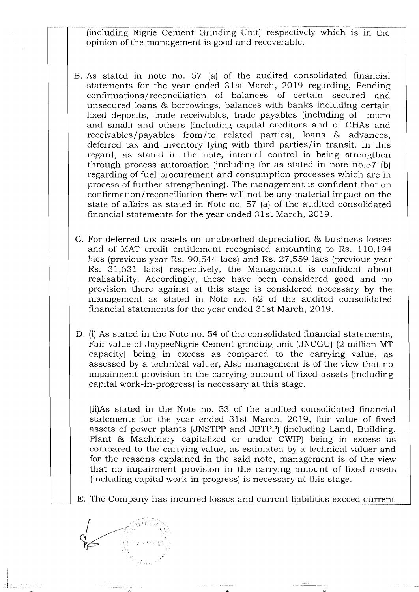------- ------------------------------------------------------------------------------------------ (including Nigrie Cement Grinding Unit) respectively which is in the opinion of the management is good and recoverable.

- B. As stated in note no. 57 (a) of the audited consolidated financial statements for the year ended 31st March, 2019 regarding, Pending confirmations/reconciliation of balances of certain secured and unsecured loans & borrowings, balances with banks including certain fixed deposits, trade receivables, trade payables (including of micro and small) and others (including capital creditors and of CHAs and receivables/payables from/to related parties), loans & advances, deferred tax and inventory lying with third parties/in transit. In this regard, as stated in the note, internal control is being strengthen through process automation (including for as stated in note no.57 (b) regarding of fuel procurement and consumption processes which are in process of further strengthening). The management is confident that on confirmation/ reconciliation there will not be any material impact on the state of affairs as stated in Note no. 57 (a) of the audited consolidated financial statements for the year ended 31st March, 2019.
- C. For deferred tax assets on unabsorbed depreciation & business losses and of MAT credit entitlement recognised amounting to Rs. 110,194 lacs (previous year Rs. 90,544 lacs) and Rs.  $27,559$  lacs (previous year Rs. 31,631 lacs) respectively, the Management is confident about realisability. Accordingly, these have been considered good and no provision there against at this stage is considered necessary by the management as stated in Note no. 62 of the audited consolidated financial statements for the year ended 31st March, 2019.
- D. (i) As stated in the Note no. 54 of the consolidated financial statements, Fair value of JaypeeNigrie Cement grinding unit (JNCGU) (2 million MT capacity) being in excess as compared to the carrying value, as assessed by a technical valuer, Also management is of the view that no impairment provision in the carrying amount of fixed assets (including capital work-in-progress) is necessary at this stage.

(ii)As stated in the Note no. 53 of the audited consolidated financial statements for the year ended 31st March, 2019, fair value of fixed assets of power plants (JNSTPP and JBTPP) (including Land, Building, Plant & Machinery capitalized or under CWIP) being in excess as compared to the carrying value, as estimated by a technical valuer and for the reasons explained in the said note, management is of the view that no impairment provision in the carrying amount of fixed assets (including capital work-in-progress) is necessary at this stage.

E. The Company has incurred losses and current liabilities exceed current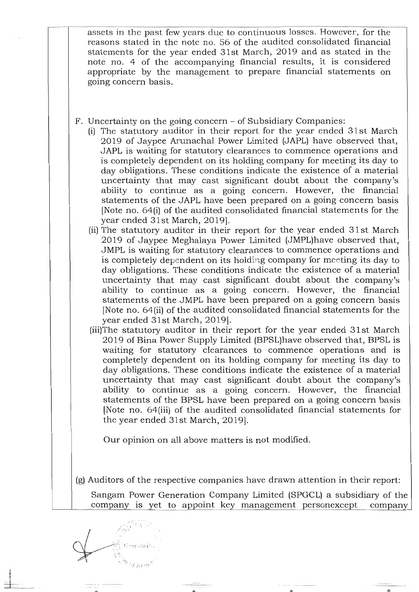-.----------.---.-~-.---------~---------.-... -.----- --~-.~ .. -.----.---.-.--------.-----.---------.. assets in the past few years due to continuous losses. However, for the reasons stated in the note no. 56 of the audited consolidated financial statements for the year ended 31st March, 2019 and as stated in the note no. 4 of the accompanying financial results, it is considered appropriate by the management to prepare financial statements on going concern basis.

- F. Uncertainty on the going concern of Subsidiary Companies:
	- (i) The statutory auditor in their report for the year ended 31 st March 2019 of Jaypee Arunachal Power Limited (JAPL) have observed that, JAPL is waiting for statutory clearances to commence operations and is completely dependent on its holding company for meeting its day to day obligations. These conditions indicate the existence of a material uncertainty that may cast significant doubt about the company's ability to continue as a going concern. However, the financial statements of the JAPL have been prepared on a going concern basis [Note no. 64(i) of the audited consolidated financial statements for the year ended 31st March, 2019].
	- (ii) The statutory auditor in their report for the year ended 31 st March 2019 of Jaypee Meghalaya Power Limited (JMPL)have observed that, JMPL is waiting for statutory clearances to commence operations and is completely dependent on its holding company for meeting its day to day obligations. These conditions indicate the existence of a material uncertainty that may cast significant doubt about the company's ability to continue as a going concern. However, the financial statements of the JMPL have been prepared on a going concern basis [Note no. 64(ii) of the audited consolidated financial statements for the year ended 31st March, 2019].
	- (iii)The statutory auditor in their report for the year ended 31 st March 2019 of Bina Power Supply Limited (BPSL)have observed that, BPSL is waiting for statutory clearances to commence operations and is completely dependent on its holding company for meeting its day to day obligations. These conditions indicate the existence of a material uncertainty that may cast significant doubt about the company's ability to continue as a going concern. However, the financial statements of the BPSL have been prepared on a going concern basis [Note no. 64(iii) of the audited consolidated financial statements for the year ended 31st March, 2019].

Our opinion on all above matters is not modified.

(g) Auditors of the respective companies have drawn attention in their report:

Sangam Power Generation Company Limited (SPGCL) a subsidiary of the company is yet to appoint key management personexcept company

 $\mathbb{C}$  : New Delf . :\ .- ~~. i, :.'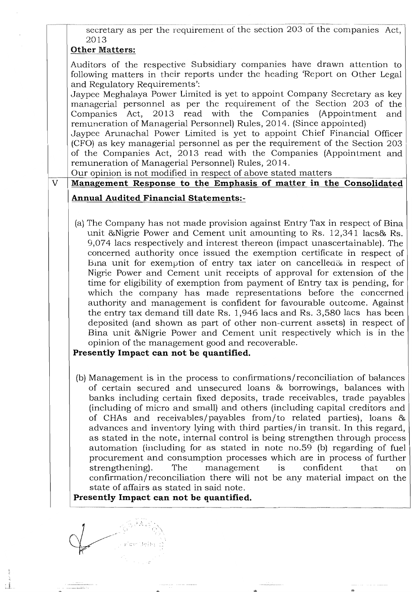,---""----",,-----"----------------------"--""-- "-""---- secretary as per the requirement of the section 203 of the companies Act, 2013

# Other Matters:

Auditors of the respective Subsidiary companies have drawn attention to following matters in their reports under the heading 'Report on Other Legal and Regulatory Requirements':

Jaypee Meghalaya Power Limited is yet to appoint Company Secretary as key managerial personnel as per the requirement of the Section 203 of the Companies Act, 2013 read with the Companies (Appointment and remuneration of Managerial Personnel) Rules, 2014. (Since appointed)

Jaypee Arunachal Power Limited is yet to appoint Chief Financial Officer (CFO) as key managerial personnel as per the requirement of the Section 203 of the Companies Act, 2013 read with the Companies (Appointment and remuneration of Managerial Personnel) Rules, 2014.

Our opinion is not modified in respect of above stated matters

# V **Management Response to** the **Emphasis of matter in the Consolidated**

# **Annual Audited Financial Statements:-**

(a) The Company has not made provision against Entry Tax in respect of Bina unit &Nigrie Power and Cement unit amounting to Rs. 12,341 lacs& Rs. 9,074 lacs respectively and interest thereon (impact unascertainable). The concerned authority once issued the exemption certificate in respect of Bina unit for exemption of entry tax later on cancelled& in respect of Nigrie Power and Cement unit receipts of approval for extension of the time for eligibility of exemption from payment of Entry tax is pending, for which the company has made representations before the concerned authority and management is confident for favourable outcome. Against the entry tax demand till date Rs. 1,946 lacs and Rs. 3,580 lacs has been deposited (and shown as part of other non-current assets) in respect of Bina unit &Nigrie Power and Cement unit respectively which is in the opinion of the management good and recoverable.

# **Presently Impact can not be quantified.**

(b) Management is in the process to confirmations/reconciliation of balances of certain secured and unsecured loans & borrowings, balances with banks including certain fixed deposits, trade receivables, trade payables (including of micro and small) and others (including capital creditors and of CHAs and receivables/payables from/to related parties), loans & advances and inventory lying with third parties/in transit. In this regard, as stated in the note, internal control is being strengthen through process automation (including for as stated in note no.59 (b) regarding of fuel procurement and consumption processes which are in process of further strengthening). The management is confident that on confirmation/reconciliation there will not be any material impact on the state of affairs as stated in said note.

# **Presently Impact can not be quantified.**

 $\begin{picture}(120,140)(-10,140) \put(10,140){\line(1,0){15}} \put(10,140){\line(1,0){15}} \put(10,140){\line(1,0){15}} \put(10,140){\line(1,0){15}} \put(10,140){\line(1,0){15}} \put(10,140){\line(1,0){15}} \put(10,140){\line(1,0){15}} \put(10,140){\line(1,0){15}} \put(10,140){\line(1,0){15}} \put(10,140){\line(1,0){15$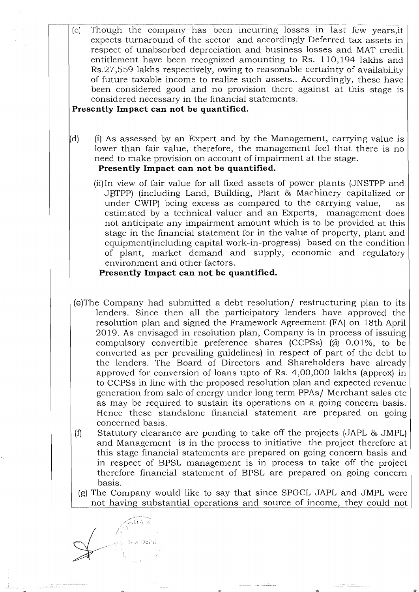,------,-------\_.\_-\_ .. \_---------------\_.\_-\_. \_\_ .... \_----\_.\_-------------\_.\_ .. (c) Though the company has been incurring losses in last few years,it expects turnaround of the sector and accordingly Deferred tax assets in respect of unabsorbed depreciation and business losses and MAT credit entitlement have been recognized amounting to Rs. 110,194 lakhs and Rs.27,559 lakhs respectively, owing to reasonable certainty of availability of future taxable income to realize such assets .. Accordingly, these have been considered good and no provision there against at this stage is considered necessary in the financial statements.

# **Presently Impact can not be quantified.**

- (d) (i) As assessed by an Expert and by the Management, carrying value is lower than fair value, therefore, the management feel that there is no need to make provision on account of impairment at the stage. **Presently Impact can not be quantified.** 
	- (ii)In view of fair value for all fixed assets of power plants (JNSTPP and JBTPP) (including Land, Building, Plant & Machinery capitalized or under CWIP) being excess as compared to the carrying value, as estimated by a technical valuer and an Experts, management does not anticipate any impairment amount which is to be provided at this stage in the financial statement for in the value of property, plant and equipment(including capital work-in-progress) based on the condition of plant, market demand and supply, economic and regulatory environment and other factors.

# **Presently Impact can not be quantified.**

- (e)The Company had submitted a debt resolution/ restructuring plan to its lenders. Since then all the participatory lenders have approved the resolution plan and signed the Framework Agreement (FA) on 18th April 2019. As envisaged in resolution plan, Company is in process of issuing compulsory convertible preference shares (CCPSs) (@ 0.01%, to be converted as per prevailing guidelines) in respect of part of the debt to the lenders. The Board of Directors and Shareholders have already approved for conversion of loans upto of Rs.  $4,00,000$  lakhs (approx) in to CCPSs in line with the proposed resolution plan and expected revenue generation from sale of energy under long term PPAs/ Merchant sales etc as may be required to sustain its operations on a going concern basis. Hence these standalone financial statement are prepared on going concerned basis.
- (1) Statutory clearance are pending to take off the projects (JAPL & JMPL) and Management is in the process to initiative the project therefore at this stage financial statements are prepared on going concern basis and in respect of BPSL management is in process to take off the project therefore financial statement of BPSL are prepared on going concern basis.
- (g) The Company would like to say that since SPGCL JAPL and JMPL were not having substantial operations and source of income, they could not